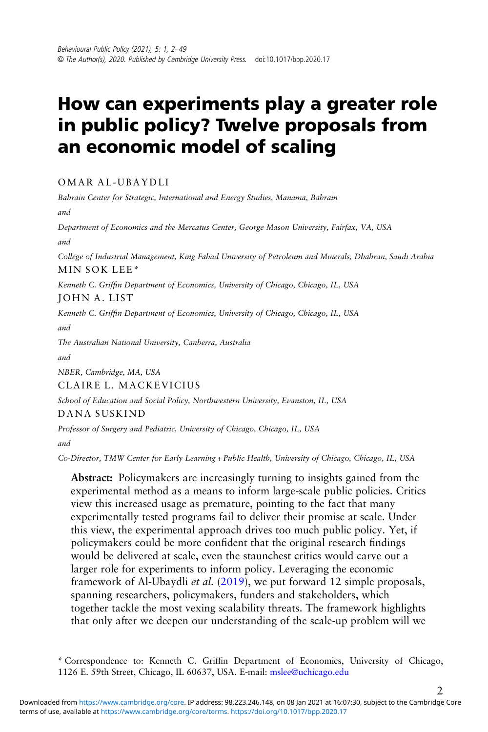# How can experiments play a greater role in public policy? Twelve proposals from an economic model of scaling

OMAR AL-UBAYDLI

Bahrain Center for Strategic, International and Energy Studies, Manama, Bahrain and

Department of Economics and the Mercatus Center, George Mason University, Fairfax, VA, USA and

College of Industrial Management, King Fahad University of Petroleum and Minerals, Dhahran, Saudi Arabia MIN SOK LEE\*

Kenneth C. Griffin Department of Economics, University of Chicago, Chicago, IL, USA JOHN A. LIST

Kenneth C. Griffin Department of Economics, University of Chicago, Chicago, IL, USA and

The Australian National University, Canberra, Australia

and

NBER, Cambridge, MA, USA

CLAIRE L. MACKEVICIUS

School of Education and Social Policy, Northwestern University, Evanston, IL, USA DANA SUSKIND

Professor of Surgery and Pediatric, University of Chicago, Chicago, IL, USA

and

Co-Director, TMW Center for Early Learning + Public Health, University of Chicago, Chicago, IL, USA

Abstract: Policymakers are increasingly turning to insights gained from the experimental method as a means to inform large-scale public policies. Critics view this increased usage as premature, pointing to the fact that many experimentally tested programs fail to deliver their promise at scale. Under this view, the experimental approach drives too much public policy. Yet, if policymakers could be more confident that the original research findings would be delivered at scale, even the staunchest critics would carve out a larger role for experiments to inform policy. Leveraging the economic framework of Al-Ubaydli et al. ([2019\)](#page-43-0), we put forward 12 simple proposals, spanning researchers, policymakers, funders and stakeholders, which together tackle the most vexing scalability threats. The framework highlights that only after we deepen our understanding of the scale-up problem will we

\* Correspondence to: Kenneth C. Griffin Department of Economics, University of Chicago, 1126 E. 59th Street, Chicago, IL 60637, USA. E-mail: [mslee@uchicago.edu](mailto:mslee@uchicago.edu)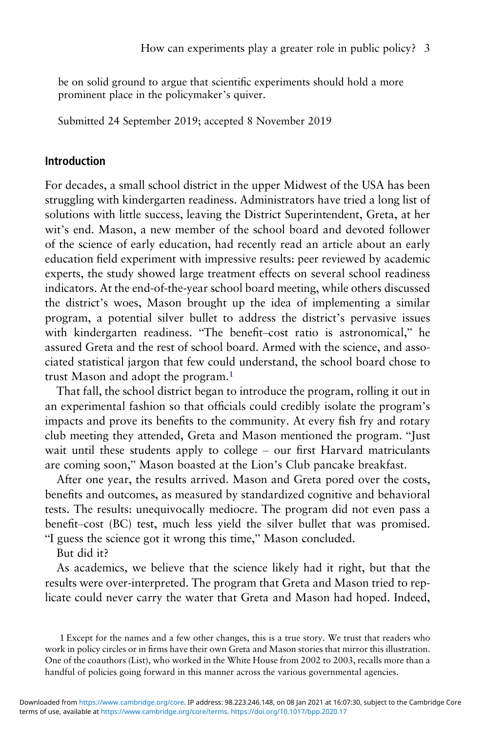be on solid ground to argue that scientific experiments should hold a more prominent place in the policymaker's quiver.

Submitted 24 September 2019; accepted 8 November 2019

#### Introduction

For decades, a small school district in the upper Midwest of the USA has been struggling with kindergarten readiness. Administrators have tried a long list of solutions with little success, leaving the District Superintendent, Greta, at her wit's end. Mason, a new member of the school board and devoted follower of the science of early education, had recently read an article about an early education field experiment with impressive results: peer reviewed by academic experts, the study showed large treatment effects on several school readiness indicators. At the end-of-the-year school board meeting, while others discussed the district's woes, Mason brought up the idea of implementing a similar program, a potential silver bullet to address the district's pervasive issues with kindergarten readiness. "The benefit–cost ratio is astronomical," he assured Greta and the rest of school board. Armed with the science, and associated statistical jargon that few could understand, the school board chose to trust Mason and adopt the program.<sup>1</sup>

That fall, the school district began to introduce the program, rolling it out in an experimental fashion so that officials could credibly isolate the program's impacts and prove its benefits to the community. At every fish fry and rotary club meeting they attended, Greta and Mason mentioned the program. "Just wait until these students apply to college – our first Harvard matriculants are coming soon," Mason boasted at the Lion's Club pancake breakfast.

After one year, the results arrived. Mason and Greta pored over the costs, benefits and outcomes, as measured by standardized cognitive and behavioral tests. The results: unequivocally mediocre. The program did not even pass a benefit–cost (BC) test, much less yield the silver bullet that was promised. "I guess the science got it wrong this time," Mason concluded.

But did it?

As academics, we believe that the science likely had it right, but that the results were over-interpreted. The program that Greta and Mason tried to replicate could never carry the water that Greta and Mason had hoped. Indeed,

1 Except for the names and a few other changes, this is a true story. We trust that readers who work in policy circles or in firms have their own Greta and Mason stories that mirror this illustration. One of the coauthors (List), who worked in the White House from 2002 to 2003, recalls more than a handful of policies going forward in this manner across the various governmental agencies.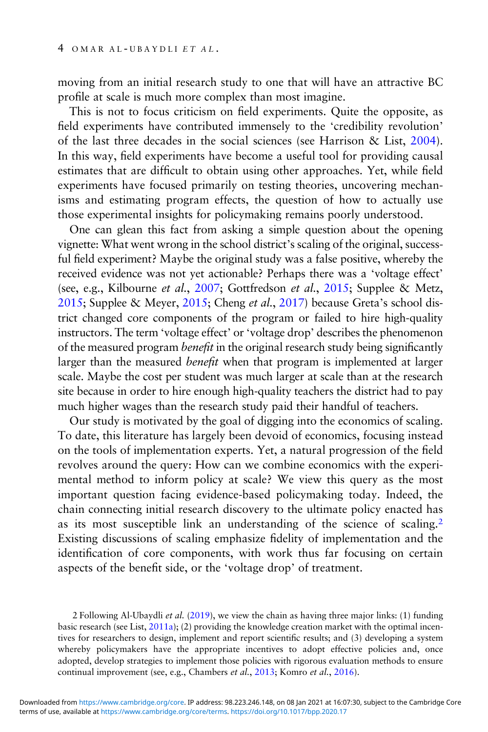moving from an initial research study to one that will have an attractive BC profile at scale is much more complex than most imagine.

This is not to focus criticism on field experiments. Quite the opposite, as field experiments have contributed immensely to the 'credibility revolution' of the last three decades in the social sciences (see Harrison & List, [2004](#page-45-0)). In this way, field experiments have become a useful tool for providing causal estimates that are difficult to obtain using other approaches. Yet, while field experiments have focused primarily on testing theories, uncovering mechanisms and estimating program effects, the question of how to actually use those experimental insights for policymaking remains poorly understood.

One can glean this fact from asking a simple question about the opening vignette: What went wrong in the school district's scaling of the original, successful field experiment? Maybe the original study was a false positive, whereby the received evidence was not yet actionable? Perhaps there was a 'voltage effect' (see, e.g., Kilbourne et al., [2007](#page-46-0); Gottfredson et al., [2015](#page-45-0); Supplee & Metz, [2015](#page-47-0); Supplee & Meyer, [2015](#page-47-0); Cheng et al., [2017\)](#page-43-0) because Greta's school district changed core components of the program or failed to hire high-quality instructors. The term 'voltage effect' or 'voltage drop' describes the phenomenon of the measured program benefit in the original research study being significantly larger than the measured benefit when that program is implemented at larger scale. Maybe the cost per student was much larger at scale than at the research site because in order to hire enough high-quality teachers the district had to pay much higher wages than the research study paid their handful of teachers.

Our study is motivated by the goal of digging into the economics of scaling. To date, this literature has largely been devoid of economics, focusing instead on the tools of implementation experts. Yet, a natural progression of the field revolves around the query: How can we combine economics with the experimental method to inform policy at scale? We view this query as the most important question facing evidence-based policymaking today. Indeed, the chain connecting initial research discovery to the ultimate policy enacted has as its most susceptible link an understanding of the science of scaling.<sup>2</sup> Existing discussions of scaling emphasize fidelity of implementation and the identification of core components, with work thus far focusing on certain aspects of the benefit side, or the 'voltage drop' of treatment.

2 Following Al-Ubaydli et al. ([2019](#page-43-0)), we view the chain as having three major links: (1) funding basic research (see List, [2011a\)](#page-46-0); (2) providing the knowledge creation market with the optimal incentives for researchers to design, implement and report scientific results; and (3) developing a system whereby policymakers have the appropriate incentives to adopt effective policies and, once adopted, develop strategies to implement those policies with rigorous evaluation methods to ensure continual improvement (see, e.g., Chambers et al., [2013;](#page-43-0) Komro et al., [2016\)](#page-46-0).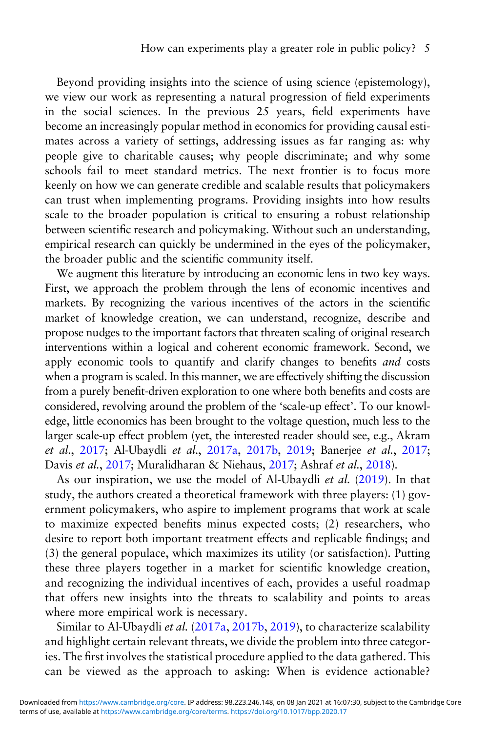Beyond providing insights into the science of using science (epistemology), we view our work as representing a natural progression of field experiments in the social sciences. In the previous 25 years, field experiments have become an increasingly popular method in economics for providing causal estimates across a variety of settings, addressing issues as far ranging as: why people give to charitable causes; why people discriminate; and why some schools fail to meet standard metrics. The next frontier is to focus more keenly on how we can generate credible and scalable results that policymakers can trust when implementing programs. Providing insights into how results scale to the broader population is critical to ensuring a robust relationship between scientific research and policymaking. Without such an understanding, empirical research can quickly be undermined in the eyes of the policymaker, the broader public and the scientific community itself.

We augment this literature by introducing an economic lens in two key ways. First, we approach the problem through the lens of economic incentives and markets. By recognizing the various incentives of the actors in the scientific market of knowledge creation, we can understand, recognize, describe and propose nudges to the important factors that threaten scaling of original research interventions within a logical and coherent economic framework. Second, we apply economic tools to quantify and clarify changes to benefits and costs when a program is scaled. In this manner, we are effectively shifting the discussion from a purely benefit-driven exploration to one where both benefits and costs are considered, revolving around the problem of the 'scale-up effect'. To our knowledge, little economics has been brought to the voltage question, much less to the larger scale-up effect problem (yet, the interested reader should see, e.g., Akram et al., [2017;](#page-42-0) Al-Ubaydli et al., [2017a,](#page-43-0) [2017b](#page-43-0), [2019](#page-43-0); Banerjee et al., [2017](#page-43-0); Davis et al., [2017](#page-44-0); Muralidharan & Niehaus, [2017](#page-46-0); Ashraf et al., [2018](#page-43-0)).

As our inspiration, we use the model of Al-Ubaydli et al. ([2019](#page-43-0)). In that study, the authors created a theoretical framework with three players: (1) government policymakers, who aspire to implement programs that work at scale to maximize expected benefits minus expected costs; (2) researchers, who desire to report both important treatment effects and replicable findings; and (3) the general populace, which maximizes its utility (or satisfaction). Putting these three players together in a market for scientific knowledge creation, and recognizing the individual incentives of each, provides a useful roadmap that offers new insights into the threats to scalability and points to areas where more empirical work is necessary.

Similar to Al-Ubaydli et al. ([2017a,](#page-43-0) [2017b](#page-43-0), [2019](#page-43-0)), to characterize scalability and highlight certain relevant threats, we divide the problem into three categories. The first involves the statistical procedure applied to the data gathered. This can be viewed as the approach to asking: When is evidence actionable?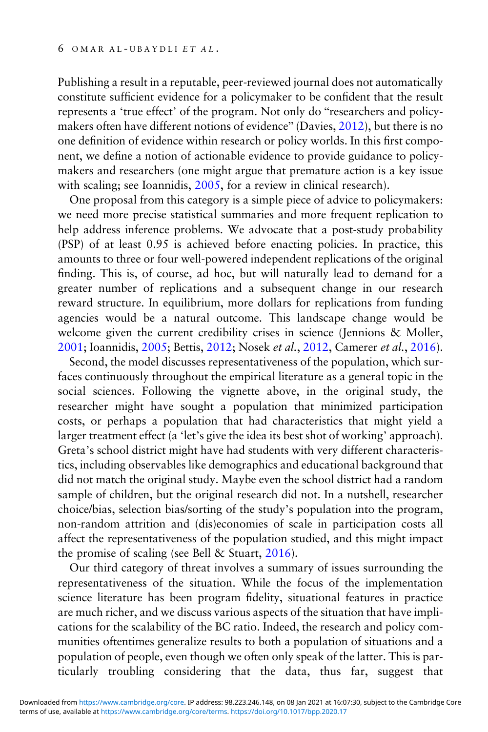Publishing a result in a reputable, peer-reviewed journal does not automatically constitute sufficient evidence for a policymaker to be confident that the result represents a 'true effect' of the program. Not only do "researchers and policymakers often have different notions of evidence" (Davies, [2012\)](#page-44-0), but there is no one definition of evidence within research or policy worlds. In this first component, we define a notion of actionable evidence to provide guidance to policymakers and researchers (one might argue that premature action is a key issue with scaling; see Ioannidis, [2005,](#page-45-0) for a review in clinical research).

One proposal from this category is a simple piece of advice to policymakers: we need more precise statistical summaries and more frequent replication to help address inference problems. We advocate that a post-study probability (PSP) of at least 0.95 is achieved before enacting policies. In practice, this amounts to three or four well-powered independent replications of the original finding. This is, of course, ad hoc, but will naturally lead to demand for a greater number of replications and a subsequent change in our research reward structure. In equilibrium, more dollars for replications from funding agencies would be a natural outcome. This landscape change would be welcome given the current credibility crises in science (Jennions & Moller, [2001;](#page-45-0) Ioannidis, [2005;](#page-45-0) Bettis, [2012](#page-43-0); Nosek et al., [2012](#page-46-0), Camerer et al., [2016](#page-43-0)).

Second, the model discusses representativeness of the population, which surfaces continuously throughout the empirical literature as a general topic in the social sciences. Following the vignette above, in the original study, the researcher might have sought a population that minimized participation costs, or perhaps a population that had characteristics that might yield a larger treatment effect (a 'let's give the idea its best shot of working' approach). Greta's school district might have had students with very different characteristics, including observables like demographics and educational background that did not match the original study. Maybe even the school district had a random sample of children, but the original research did not. In a nutshell, researcher choice/bias, selection bias/sorting of the study's population into the program, non-random attrition and (dis)economies of scale in participation costs all affect the representativeness of the population studied, and this might impact the promise of scaling (see Bell & Stuart, [2016\)](#page-43-0).

Our third category of threat involves a summary of issues surrounding the representativeness of the situation. While the focus of the implementation science literature has been program fidelity, situational features in practice are much richer, and we discuss various aspects of the situation that have implications for the scalability of the BC ratio. Indeed, the research and policy communities oftentimes generalize results to both a population of situations and a population of people, even though we often only speak of the latter. This is particularly troubling considering that the data, thus far, suggest that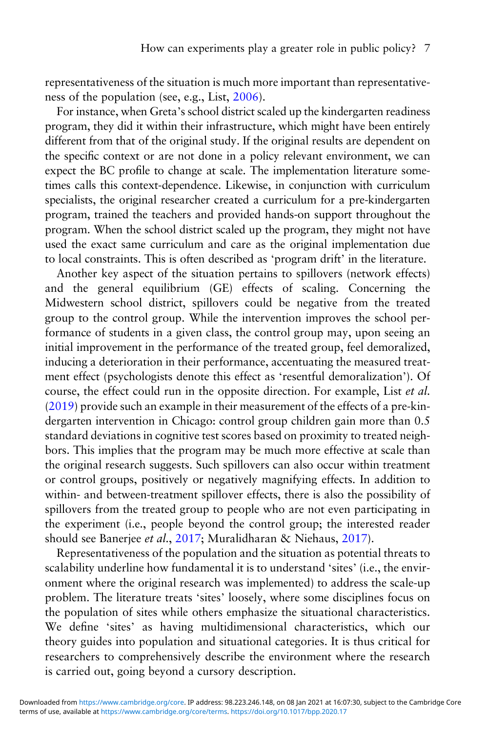representativeness of the situation is much more important than representativeness of the population (see, e.g., List, [2006](#page-46-0)).

For instance, when Greta's school district scaled up the kindergarten readiness program, they did it within their infrastructure, which might have been entirely different from that of the original study. If the original results are dependent on the specific context or are not done in a policy relevant environment, we can expect the BC profile to change at scale. The implementation literature sometimes calls this context-dependence. Likewise, in conjunction with curriculum specialists, the original researcher created a curriculum for a pre-kindergarten program, trained the teachers and provided hands-on support throughout the program. When the school district scaled up the program, they might not have used the exact same curriculum and care as the original implementation due to local constraints. This is often described as 'program drift' in the literature.

Another key aspect of the situation pertains to spillovers (network effects) and the general equilibrium (GE) effects of scaling. Concerning the Midwestern school district, spillovers could be negative from the treated group to the control group. While the intervention improves the school performance of students in a given class, the control group may, upon seeing an initial improvement in the performance of the treated group, feel demoralized, inducing a deterioration in their performance, accentuating the measured treatment effect (psychologists denote this effect as 'resentful demoralization'). Of course, the effect could run in the opposite direction. For example, List et al. ([2019](#page-46-0)) provide such an example in their measurement of the effects of a pre-kindergarten intervention in Chicago: control group children gain more than 0.5 standard deviations in cognitive test scores based on proximity to treated neighbors. This implies that the program may be much more effective at scale than the original research suggests. Such spillovers can also occur within treatment or control groups, positively or negatively magnifying effects. In addition to within- and between-treatment spillover effects, there is also the possibility of spillovers from the treated group to people who are not even participating in the experiment (i.e., people beyond the control group; the interested reader should see Banerjee et al., [2017](#page-43-0); Muralidharan & Niehaus, [2017](#page-46-0)).

Representativeness of the population and the situation as potential threats to scalability underline how fundamental it is to understand 'sites' (i.e., the environment where the original research was implemented) to address the scale-up problem. The literature treats 'sites' loosely, where some disciplines focus on the population of sites while others emphasize the situational characteristics. We define 'sites' as having multidimensional characteristics, which our theory guides into population and situational categories. It is thus critical for researchers to comprehensively describe the environment where the research is carried out, going beyond a cursory description.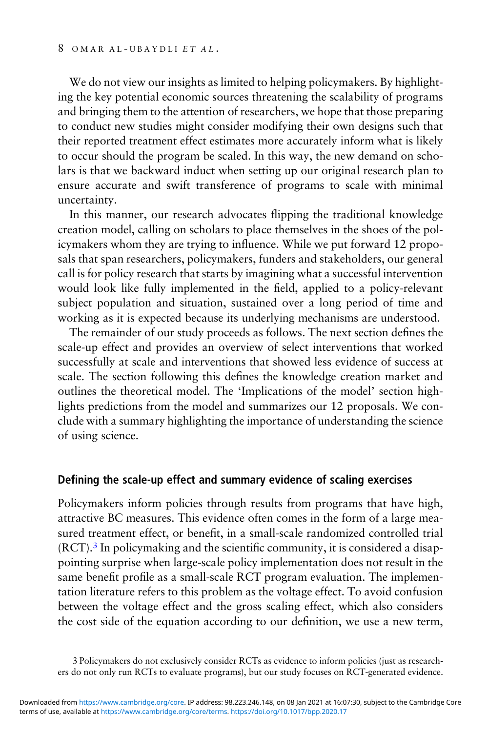We do not view our insights as limited to helping policymakers. By highlighting the key potential economic sources threatening the scalability of programs and bringing them to the attention of researchers, we hope that those preparing to conduct new studies might consider modifying their own designs such that their reported treatment effect estimates more accurately inform what is likely to occur should the program be scaled. In this way, the new demand on scholars is that we backward induct when setting up our original research plan to ensure accurate and swift transference of programs to scale with minimal uncertainty.

In this manner, our research advocates flipping the traditional knowledge creation model, calling on scholars to place themselves in the shoes of the policymakers whom they are trying to influence. While we put forward 12 proposals that span researchers, policymakers, funders and stakeholders, our general call is for policy research that starts by imagining what a successful intervention would look like fully implemented in the field, applied to a policy-relevant subject population and situation, sustained over a long period of time and working as it is expected because its underlying mechanisms are understood.

The remainder of our study proceeds as follows. The next section defines the scale-up effect and provides an overview of select interventions that worked successfully at scale and interventions that showed less evidence of success at scale. The section following this defines the knowledge creation market and outlines the theoretical model. The 'Implications of the model' section highlights predictions from the model and summarizes our 12 proposals. We conclude with a summary highlighting the importance of understanding the science of using science.

#### Defining the scale-up effect and summary evidence of scaling exercises

Policymakers inform policies through results from programs that have high, attractive BC measures. This evidence often comes in the form of a large measured treatment effect, or benefit, in a small-scale randomized controlled trial (RCT).<sup>3</sup> In policymaking and the scientific community, it is considered a disappointing surprise when large-scale policy implementation does not result in the same benefit profile as a small-scale RCT program evaluation. The implementation literature refers to this problem as the voltage effect. To avoid confusion between the voltage effect and the gross scaling effect, which also considers the cost side of the equation according to our definition, we use a new term,

<sup>3</sup> Policymakers do not exclusively consider RCTs as evidence to inform policies (just as researchers do not only run RCTs to evaluate programs), but our study focuses on RCT-generated evidence.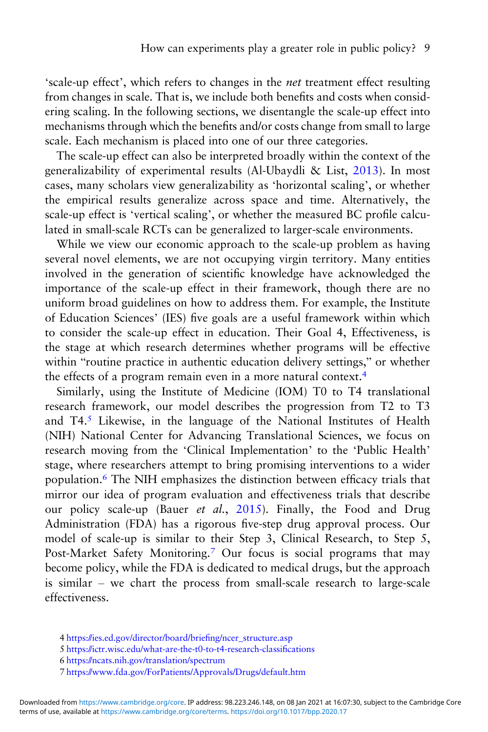'scale-up effect', which refers to changes in the net treatment effect resulting from changes in scale. That is, we include both benefits and costs when considering scaling. In the following sections, we disentangle the scale-up effect into mechanisms through which the benefits and/or costs change from small to large scale. Each mechanism is placed into one of our three categories.

The scale-up effect can also be interpreted broadly within the context of the generalizability of experimental results (Al-Ubaydli & List, [2013](#page-42-0)). In most cases, many scholars view generalizability as 'horizontal scaling', or whether the empirical results generalize across space and time. Alternatively, the scale-up effect is 'vertical scaling', or whether the measured BC profile calculated in small-scale RCTs can be generalized to larger-scale environments.

While we view our economic approach to the scale-up problem as having several novel elements, we are not occupying virgin territory. Many entities involved in the generation of scientific knowledge have acknowledged the importance of the scale-up effect in their framework, though there are no uniform broad guidelines on how to address them. For example, the Institute of Education Sciences' (IES) five goals are a useful framework within which to consider the scale-up effect in education. Their Goal 4, Effectiveness, is the stage at which research determines whether programs will be effective within "routine practice in authentic education delivery settings," or whether the effects of a program remain even in a more natural context.<sup>4</sup>

Similarly, using the Institute of Medicine (IOM) T0 to T4 translational research framework, our model describes the progression from T2 to T3 and T4.<sup>5</sup> Likewise, in the language of the National Institutes of Health (NIH) National Center for Advancing Translational Sciences, we focus on research moving from the 'Clinical Implementation' to the 'Public Health' stage, where researchers attempt to bring promising interventions to a wider population.<sup>6</sup> The NIH emphasizes the distinction between efficacy trials that mirror our idea of program evaluation and effectiveness trials that describe our policy scale-up (Bauer et al., [2015](#page-43-0)). Finally, the Food and Drug Administration (FDA) has a rigorous five-step drug approval process. Our model of scale-up is similar to their Step 3, Clinical Research, to Step 5, Post-Market Safety Monitoring.<sup>7</sup> Our focus is social programs that may become policy, while the FDA is dedicated to medical drugs, but the approach is similar – we chart the process from small-scale research to large-scale effectiveness.

<sup>4</sup> [https://ies.ed.gov/director/board/brie](https://ies.ed.gov/director/board/briefing/ncer_structure.asp)fing/ncer\_structure.asp

<sup>5</sup> [https://ictr.wisc.edu/what-are-the-t0-to-t4-research-classi](https://ictr.wisc.edu/what-are-the-t0-to-t4-research-classifications)fications

<sup>6</sup> <https://ncats.nih.gov/translation/spectrum>

<sup>7</sup> <https://www.fda.gov/ForPatients/Approvals/Drugs/default.htm>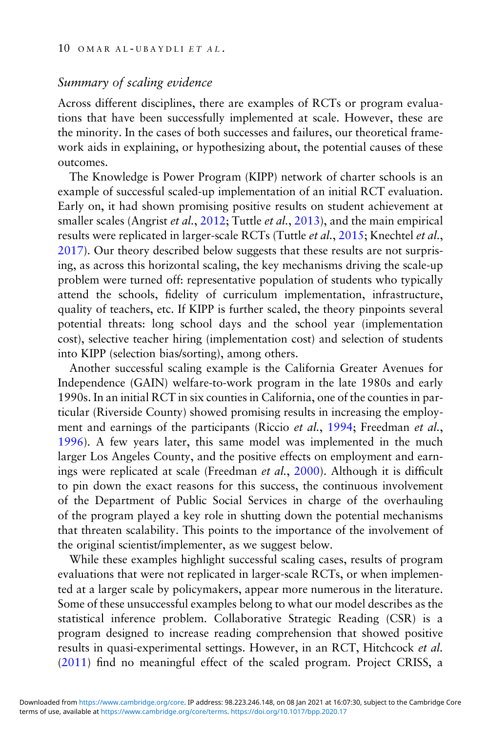# Summary of scaling evidence

Across different disciplines, there are examples of RCTs or program evaluations that have been successfully implemented at scale. However, these are the minority. In the cases of both successes and failures, our theoretical framework aids in explaining, or hypothesizing about, the potential causes of these outcomes.

The Knowledge is Power Program (KIPP) network of charter schools is an example of successful scaled-up implementation of an initial RCT evaluation. Early on, it had shown promising positive results on student achievement at smaller scales (Angrist et al., [2012](#page-43-0); Tuttle et al., [2013\)](#page-47-0), and the main empirical results were replicated in larger-scale RCTs (Tuttle et al., [2015;](#page-47-0) Knechtel et al., [2017\)](#page-46-0). Our theory described below suggests that these results are not surprising, as across this horizontal scaling, the key mechanisms driving the scale-up problem were turned off: representative population of students who typically attend the schools, fidelity of curriculum implementation, infrastructure, quality of teachers, etc. If KIPP is further scaled, the theory pinpoints several potential threats: long school days and the school year (implementation cost), selective teacher hiring (implementation cost) and selection of students into KIPP (selection bias/sorting), among others.

Another successful scaling example is the California Greater Avenues for Independence (GAIN) welfare-to-work program in the late 1980s and early 1990s. In an initial RCT in six counties in California, one of the counties in particular (Riverside County) showed promising results in increasing the employ-ment and earnings of the participants (Riccio et al., [1994;](#page-47-0) Freedman et al., [1996\)](#page-44-0). A few years later, this same model was implemented in the much larger Los Angeles County, and the positive effects on employment and earnings were replicated at scale (Freedman et al., [2000](#page-44-0)). Although it is difficult to pin down the exact reasons for this success, the continuous involvement of the Department of Public Social Services in charge of the overhauling of the program played a key role in shutting down the potential mechanisms that threaten scalability. This points to the importance of the involvement of the original scientist/implementer, as we suggest below.

While these examples highlight successful scaling cases, results of program evaluations that were not replicated in larger-scale RCTs, or when implemented at a larger scale by policymakers, appear more numerous in the literature. Some of these unsuccessful examples belong to what our model describes as the statistical inference problem. Collaborative Strategic Reading (CSR) is a program designed to increase reading comprehension that showed positive results in quasi-experimental settings. However, in an RCT, Hitchcock et al. [\(2011\)](#page-45-0) find no meaningful effect of the scaled program. Project CRISS, a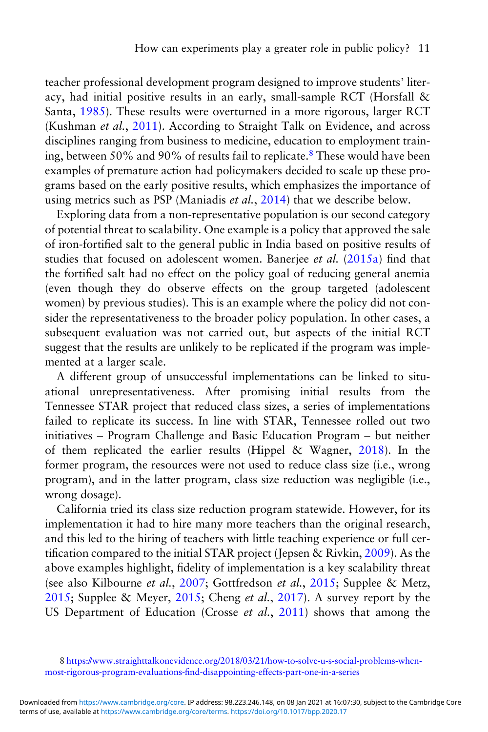teacher professional development program designed to improve students' literacy, had initial positive results in an early, small-sample RCT (Horsfall & Santa, [1985](#page-45-0)). These results were overturned in a more rigorous, larger RCT (Kushman et al., [2011\)](#page-46-0). According to Straight Talk on Evidence, and across disciplines ranging from business to medicine, education to employment training, between 50% and 90% of results fail to replicate.<sup>8</sup> These would have been examples of premature action had policymakers decided to scale up these programs based on the early positive results, which emphasizes the importance of using metrics such as PSP (Maniadis et al., [2014\)](#page-46-0) that we describe below.

Exploring data from a non-representative population is our second category of potential threat to scalability. One example is a policy that approved the sale of iron-fortified salt to the general public in India based on positive results of studies that focused on adolescent women. Banerjee et al. [\(2015a](#page-43-0)) find that the fortified salt had no effect on the policy goal of reducing general anemia (even though they do observe effects on the group targeted (adolescent women) by previous studies). This is an example where the policy did not consider the representativeness to the broader policy population. In other cases, a subsequent evaluation was not carried out, but aspects of the initial RCT suggest that the results are unlikely to be replicated if the program was implemented at a larger scale.

A different group of unsuccessful implementations can be linked to situational unrepresentativeness. After promising initial results from the Tennessee STAR project that reduced class sizes, a series of implementations failed to replicate its success. In line with STAR, Tennessee rolled out two initiatives – Program Challenge and Basic Education Program – but neither of them replicated the earlier results (Hippel & Wagner, [2018](#page-45-0)). In the former program, the resources were not used to reduce class size (i.e., wrong program), and in the latter program, class size reduction was negligible (i.e., wrong dosage).

California tried its class size reduction program statewide. However, for its implementation it had to hire many more teachers than the original research, and this led to the hiring of teachers with little teaching experience or full certification compared to the initial STAR project (Jepsen & Rivkin, [2009\)](#page-45-0). As the above examples highlight, fidelity of implementation is a key scalability threat (see also Kilbourne et al., [2007](#page-46-0); Gottfredson et al., [2015](#page-45-0); Supplee & Metz, [2015](#page-47-0); Supplee & Meyer, [2015;](#page-47-0) Cheng et al., [2017\)](#page-43-0). A survey report by the US Department of Education (Crosse et al., [2011\)](#page-44-0) shows that among the

<sup>8</sup> [https://www.straighttalkonevidence.org/2018/03/21/how-to-solve-u-s-social-problems-when](https://www.straighttalkonevidence.org/2018/03/21/how-to-solve-u-s-social-problems-when-most-rigorous-program-evaluations-find-disappointing-effects-part-one-in-a-series)most-rigorous-program-evaluations-fi[nd-disappointing-effects-part-one-in-a-series](https://www.straighttalkonevidence.org/2018/03/21/how-to-solve-u-s-social-problems-when-most-rigorous-program-evaluations-find-disappointing-effects-part-one-in-a-series)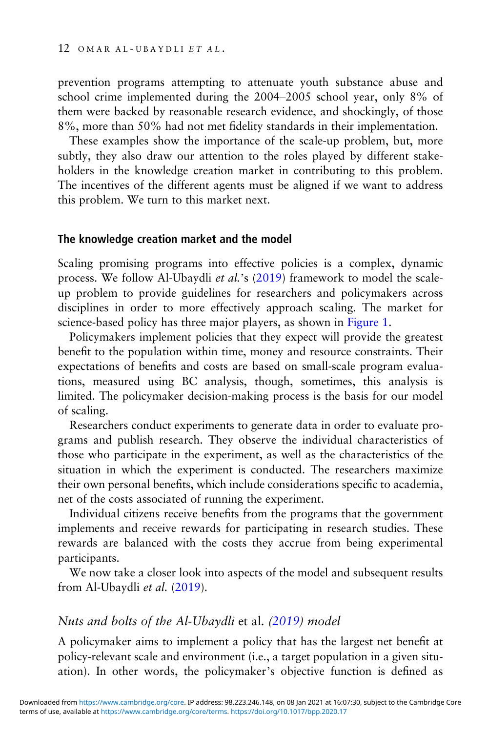prevention programs attempting to attenuate youth substance abuse and school crime implemented during the 2004–2005 school year, only 8% of them were backed by reasonable research evidence, and shockingly, of those 8%, more than 50% had not met fidelity standards in their implementation.

These examples show the importance of the scale-up problem, but, more subtly, they also draw our attention to the roles played by different stakeholders in the knowledge creation market in contributing to this problem. The incentives of the different agents must be aligned if we want to address this problem. We turn to this market next.

#### The knowledge creation market and the model

Scaling promising programs into effective policies is a complex, dynamic process. We follow Al-Ubaydli et al.'s [\(2019\)](#page-43-0) framework to model the scaleup problem to provide guidelines for researchers and policymakers across disciplines in order to more effectively approach scaling. The market for science-based policy has three major players, as shown in [Figure 1.](#page-11-0)

Policymakers implement policies that they expect will provide the greatest benefit to the population within time, money and resource constraints. Their expectations of benefits and costs are based on small-scale program evaluations, measured using BC analysis, though, sometimes, this analysis is limited. The policymaker decision-making process is the basis for our model of scaling.

Researchers conduct experiments to generate data in order to evaluate programs and publish research. They observe the individual characteristics of those who participate in the experiment, as well as the characteristics of the situation in which the experiment is conducted. The researchers maximize their own personal benefits, which include considerations specific to academia, net of the costs associated of running the experiment.

Individual citizens receive benefits from the programs that the government implements and receive rewards for participating in research studies. These rewards are balanced with the costs they accrue from being experimental participants.

We now take a closer look into aspects of the model and subsequent results from Al-Ubaydli et al. [\(2019](#page-43-0)).

#### Nuts and bolts of the Al-Ubaydli et al. [\(2019\)](#page-43-0) model

A policymaker aims to implement a policy that has the largest net benefit at policy-relevant scale and environment (i.e., a target population in a given situation). In other words, the policymaker's objective function is defined as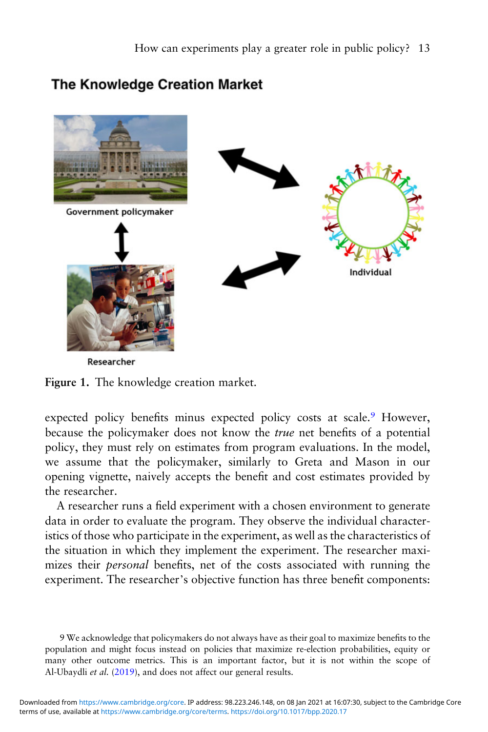# <span id="page-11-0"></span>**The Knowledge Creation Market**



Figure 1. The knowledge creation market.

expected policy benefits minus expected policy costs at scale.<sup>9</sup> However, because the policymaker does not know the true net benefits of a potential policy, they must rely on estimates from program evaluations. In the model, we assume that the policymaker, similarly to Greta and Mason in our opening vignette, naively accepts the benefit and cost estimates provided by the researcher.

A researcher runs a field experiment with a chosen environment to generate data in order to evaluate the program. They observe the individual characteristics of those who participate in the experiment, as well as the characteristics of the situation in which they implement the experiment. The researcher maximizes their personal benefits, net of the costs associated with running the experiment. The researcher's objective function has three benefit components:

<sup>9</sup> We acknowledge that policymakers do not always have as their goal to maximize benefits to the population and might focus instead on policies that maximize re-election probabilities, equity or many other outcome metrics. This is an important factor, but it is not within the scope of Al-Ubaydli et al. [\(2019\)](#page-43-0), and does not affect our general results.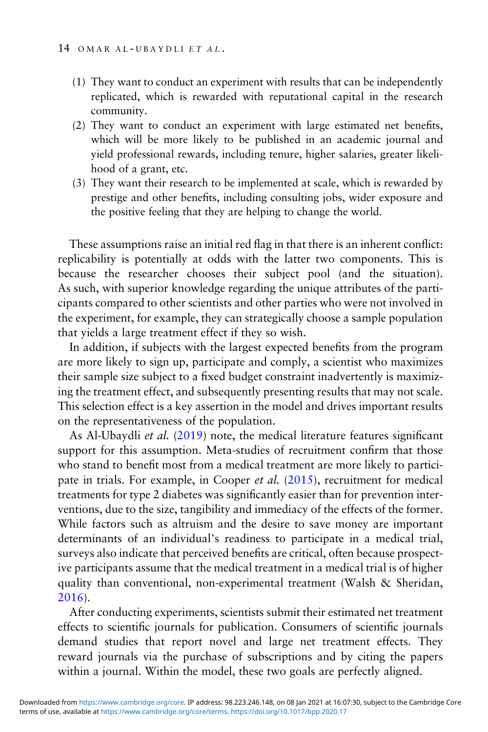- (1) They want to conduct an experiment with results that can be independently replicated, which is rewarded with reputational capital in the research community.
- (2) They want to conduct an experiment with large estimated net benefits, which will be more likely to be published in an academic journal and yield professional rewards, including tenure, higher salaries, greater likelihood of a grant, etc.
- (3) They want their research to be implemented at scale, which is rewarded by prestige and other benefits, including consulting jobs, wider exposure and the positive feeling that they are helping to change the world.

These assumptions raise an initial red flag in that there is an inherent conflict: replicability is potentially at odds with the latter two components. This is because the researcher chooses their subject pool (and the situation). As such, with superior knowledge regarding the unique attributes of the participants compared to other scientists and other parties who were not involved in the experiment, for example, they can strategically choose a sample population that yields a large treatment effect if they so wish.

In addition, if subjects with the largest expected benefits from the program are more likely to sign up, participate and comply, a scientist who maximizes their sample size subject to a fixed budget constraint inadvertently is maximizing the treatment effect, and subsequently presenting results that may not scale. This selection effect is a key assertion in the model and drives important results on the representativeness of the population.

As Al-Ubaydli et al. [\(2019](#page-43-0)) note, the medical literature features significant support for this assumption. Meta-studies of recruitment confirm that those who stand to benefit most from a medical treatment are more likely to participate in trials. For example, in Cooper et al. ([2015\)](#page-44-0), recruitment for medical treatments for type 2 diabetes was significantly easier than for prevention interventions, due to the size, tangibility and immediacy of the effects of the former. While factors such as altruism and the desire to save money are important determinants of an individual's readiness to participate in a medical trial, surveys also indicate that perceived benefits are critical, often because prospective participants assume that the medical treatment in a medical trial is of higher quality than conventional, non-experimental treatment (Walsh & Sheridan, [2016\)](#page-47-0).

After conducting experiments, scientists submit their estimated net treatment effects to scientific journals for publication. Consumers of scientific journals demand studies that report novel and large net treatment effects. They reward journals via the purchase of subscriptions and by citing the papers within a journal. Within the model, these two goals are perfectly aligned.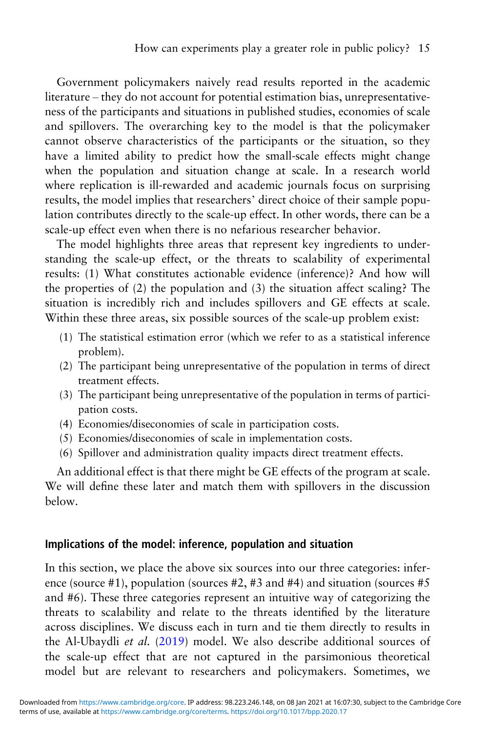Government policymakers naively read results reported in the academic literature – they do not account for potential estimation bias, unrepresentativeness of the participants and situations in published studies, economies of scale and spillovers. The overarching key to the model is that the policymaker cannot observe characteristics of the participants or the situation, so they have a limited ability to predict how the small-scale effects might change when the population and situation change at scale. In a research world where replication is ill-rewarded and academic journals focus on surprising results, the model implies that researchers' direct choice of their sample population contributes directly to the scale-up effect. In other words, there can be a scale-up effect even when there is no nefarious researcher behavior.

The model highlights three areas that represent key ingredients to understanding the scale-up effect, or the threats to scalability of experimental results: (1) What constitutes actionable evidence (inference)? And how will the properties of (2) the population and (3) the situation affect scaling? The situation is incredibly rich and includes spillovers and GE effects at scale. Within these three areas, six possible sources of the scale-up problem exist:

- (1) The statistical estimation error (which we refer to as a statistical inference problem).
- (2) The participant being unrepresentative of the population in terms of direct treatment effects.
- (3) The participant being unrepresentative of the population in terms of participation costs.
- (4) Economies/diseconomies of scale in participation costs.
- (5) Economies/diseconomies of scale in implementation costs.
- (6) Spillover and administration quality impacts direct treatment effects.

An additional effect is that there might be GE effects of the program at scale. We will define these later and match them with spillovers in the discussion below.

## Implications of the model: inference, population and situation

In this section, we place the above six sources into our three categories: inference (source #1), population (sources #2, #3 and #4) and situation (sources #5 and #6). These three categories represent an intuitive way of categorizing the threats to scalability and relate to the threats identified by the literature across disciplines. We discuss each in turn and tie them directly to results in the Al-Ubaydli et al. [\(2019\)](#page-43-0) model. We also describe additional sources of the scale-up effect that are not captured in the parsimonious theoretical model but are relevant to researchers and policymakers. Sometimes, we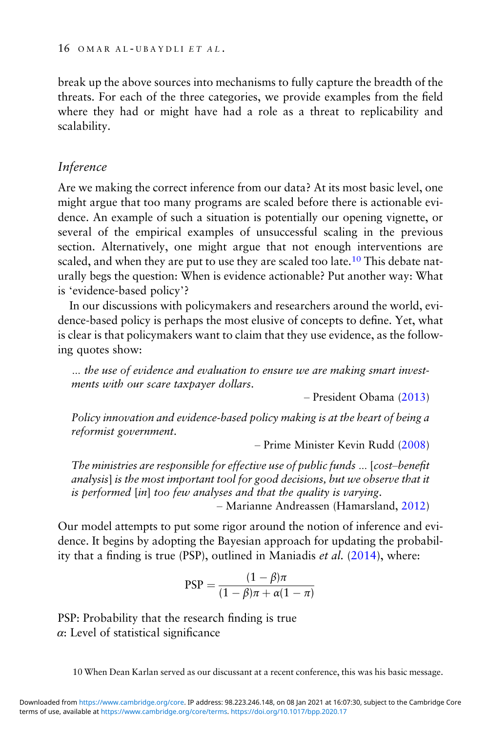break up the above sources into mechanisms to fully capture the breadth of the threats. For each of the three categories, we provide examples from the field where they had or might have had a role as a threat to replicability and scalability.

# Inference

Are we making the correct inference from our data? At its most basic level, one might argue that too many programs are scaled before there is actionable evidence. An example of such a situation is potentially our opening vignette, or several of the empirical examples of unsuccessful scaling in the previous section. Alternatively, one might argue that not enough interventions are scaled, and when they are put to use they are scaled too late.<sup>10</sup> This debate naturally begs the question: When is evidence actionable? Put another way: What is 'evidence-based policy'?

In our discussions with policymakers and researchers around the world, evidence-based policy is perhaps the most elusive of concepts to define. Yet, what is clear is that policymakers want to claim that they use evidence, as the following quotes show:

… the use of evidence and evaluation to ensure we are making smart investments with our scare taxpayer dollars.

– President Obama [\(2013](#page-46-0))

Policy innovation and evidence-based policy making is at the heart of being a reformist government.

– Prime Minister Kevin Rudd [\(2008](#page-47-0))

The ministries are responsible for effective use of public funds … [cost–benefit analysis] is the most important tool for good decisions, but we observe that it is performed [in] too few analyses and that the quality is varying.

– Marianne Andreassen (Hamarsland, [2012](#page-45-0))

Our model attempts to put some rigor around the notion of inference and evidence. It begins by adopting the Bayesian approach for updating the probability that a finding is true (PSP), outlined in Maniadis et al. ([2014\)](#page-46-0), where:

$$
PSP = \frac{(1 - \beta)\pi}{(1 - \beta)\pi + \alpha(1 - \pi)}
$$

PSP: Probability that the research finding is true  $\alpha$ : Level of statistical significance

10 When Dean Karlan served as our discussant at a recent conference, this was his basic message.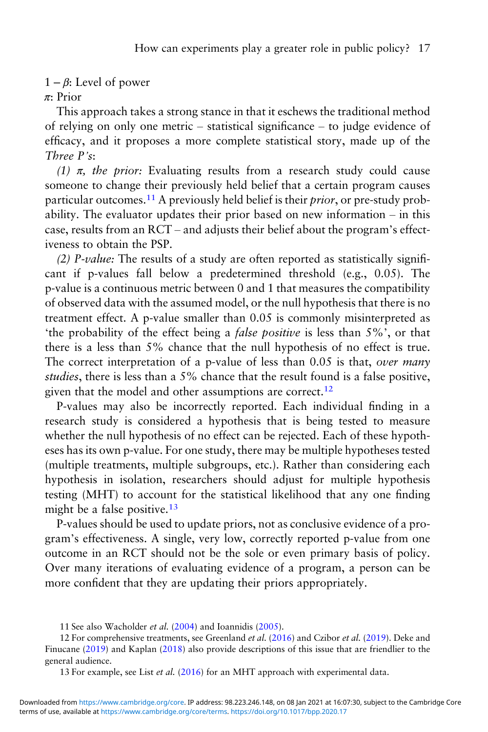#### $1 - \beta$ : Level of power

#### π: Prior

This approach takes a strong stance in that it eschews the traditional method of relying on only one metric – statistical significance – to judge evidence of efficacy, and it proposes a more complete statistical story, made up of the Three P's:

(1)  $\pi$ , the prior: Evaluating results from a research study could cause someone to change their previously held belief that a certain program causes particular outcomes.<sup>11</sup> A previously held belief is their *prior*, or pre-study probability. The evaluator updates their prior based on new information – in this case, results from an RCT – and adjusts their belief about the program's effectiveness to obtain the PSP.

(2) P-value: The results of a study are often reported as statistically significant if p-values fall below a predetermined threshold (e.g., 0.05). The p-value is a continuous metric between 0 and 1 that measures the compatibility of observed data with the assumed model, or the null hypothesis that there is no treatment effect. A p-value smaller than 0.05 is commonly misinterpreted as 'the probability of the effect being a false positive is less than 5%', or that there is a less than 5% chance that the null hypothesis of no effect is true. The correct interpretation of a p-value of less than 0.05 is that, over many studies, there is less than a 5% chance that the result found is a false positive, given that the model and other assumptions are correct.<sup>12</sup>

P-values may also be incorrectly reported. Each individual finding in a research study is considered a hypothesis that is being tested to measure whether the null hypothesis of no effect can be rejected. Each of these hypotheses has its own p-value. For one study, there may be multiple hypotheses tested (multiple treatments, multiple subgroups, etc.). Rather than considering each hypothesis in isolation, researchers should adjust for multiple hypothesis testing (MHT) to account for the statistical likelihood that any one finding might be a false positive.<sup>13</sup>

P-values should be used to update priors, not as conclusive evidence of a program's effectiveness. A single, very low, correctly reported p-value from one outcome in an RCT should not be the sole or even primary basis of policy. Over many iterations of evaluating evidence of a program, a person can be more confident that they are updating their priors appropriately.

<sup>11</sup> See also Wacholder et al. [\(2004\)](#page-47-0) and Ioannidis [\(2005\)](#page-45-0).

<sup>12</sup> For comprehensive treatments, see Greenland et al. ([2016\)](#page-45-0) and Czibor et al. [\(2019\)](#page-44-0). Deke and Finucane ([2019](#page-44-0)) and Kaplan [\(2018](#page-45-0)) also provide descriptions of this issue that are friendlier to the general audience.

<sup>13</sup> For example, see List et al. ([2016](#page-46-0)) for an MHT approach with experimental data.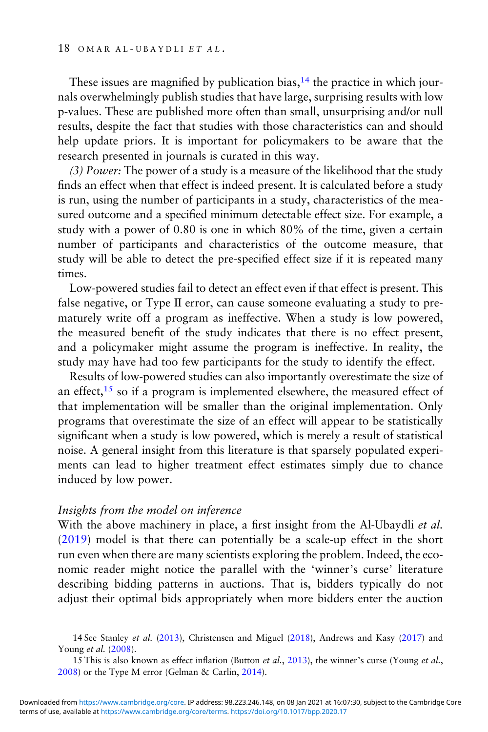These issues are magnified by publication bias, $14$  the practice in which journals overwhelmingly publish studies that have large, surprising results with low p-values. These are published more often than small, unsurprising and/or null results, despite the fact that studies with those characteristics can and should help update priors. It is important for policymakers to be aware that the research presented in journals is curated in this way.

(3) Power: The power of a study is a measure of the likelihood that the study finds an effect when that effect is indeed present. It is calculated before a study is run, using the number of participants in a study, characteristics of the measured outcome and a specified minimum detectable effect size. For example, a study with a power of 0.80 is one in which 80% of the time, given a certain number of participants and characteristics of the outcome measure, that study will be able to detect the pre-specified effect size if it is repeated many times.

Low-powered studies fail to detect an effect even if that effect is present. This false negative, or Type II error, can cause someone evaluating a study to prematurely write off a program as ineffective. When a study is low powered, the measured benefit of the study indicates that there is no effect present, and a policymaker might assume the program is ineffective. In reality, the study may have had too few participants for the study to identify the effect.

Results of low-powered studies can also importantly overestimate the size of an effect,  $15$  so if a program is implemented elsewhere, the measured effect of that implementation will be smaller than the original implementation. Only programs that overestimate the size of an effect will appear to be statistically significant when a study is low powered, which is merely a result of statistical noise. A general insight from this literature is that sparsely populated experiments can lead to higher treatment effect estimates simply due to chance induced by low power.

#### Insights from the model on inference

With the above machinery in place, a first insight from the Al-Ubaydli et al. [\(2019\)](#page-43-0) model is that there can potentially be a scale-up effect in the short run even when there are many scientists exploring the problem. Indeed, the economic reader might notice the parallel with the 'winner's curse' literature describing bidding patterns in auctions. That is, bidders typically do not adjust their optimal bids appropriately when more bidders enter the auction

15 This is also known as effect inflation (Button et al., [2013](#page-43-0)), the winner's curse (Young et al., [2008\)](#page-47-0) or the Type M error (Gelman & Carlin, [2014](#page-44-0)).

<sup>14</sup> See Stanley et al. ([2013](#page-47-0)), Christensen and Miguel [\(2018\)](#page-44-0), Andrews and Kasy ([2017](#page-43-0)) and Young et al. [\(2008\)](#page-47-0).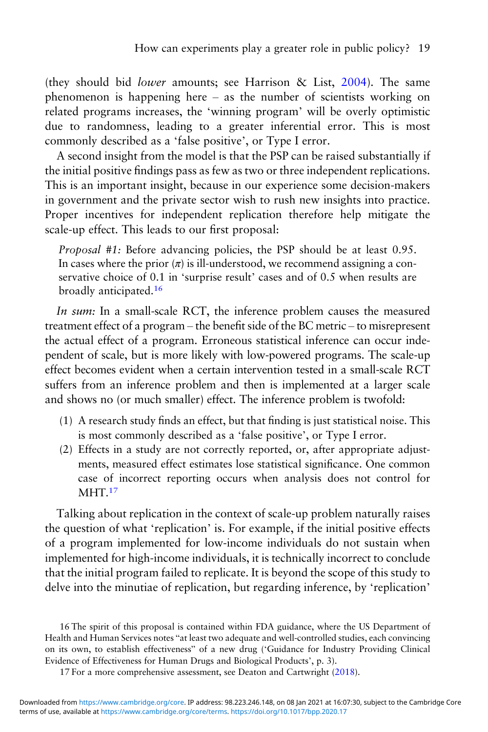(they should bid lower amounts; see Harrison & List, [2004\)](#page-45-0). The same phenomenon is happening here – as the number of scientists working on related programs increases, the 'winning program' will be overly optimistic due to randomness, leading to a greater inferential error. This is most commonly described as a 'false positive', or Type I error.

A second insight from the model is that the PSP can be raised substantially if the initial positive findings pass as few as two or three independent replications. This is an important insight, because in our experience some decision-makers in government and the private sector wish to rush new insights into practice. Proper incentives for independent replication therefore help mitigate the scale-up effect. This leads to our first proposal:

Proposal #1: Before advancing policies, the PSP should be at least 0.95. In cases where the prior  $(\pi)$  is ill-understood, we recommend assigning a conservative choice of 0.1 in 'surprise result' cases and of 0.5 when results are broadly anticipated.<sup>16</sup>

In sum: In a small-scale RCT, the inference problem causes the measured treatment effect of a program – the benefit side of the BC metric – to misrepresent the actual effect of a program. Erroneous statistical inference can occur independent of scale, but is more likely with low-powered programs. The scale-up effect becomes evident when a certain intervention tested in a small-scale RCT suffers from an inference problem and then is implemented at a larger scale and shows no (or much smaller) effect. The inference problem is twofold:

- (1) A research study finds an effect, but that finding is just statistical noise. This is most commonly described as a 'false positive', or Type I error.
- (2) Effects in a study are not correctly reported, or, after appropriate adjustments, measured effect estimates lose statistical significance. One common case of incorrect reporting occurs when analysis does not control for MHT.<sup>17</sup>

Talking about replication in the context of scale-up problem naturally raises the question of what 'replication' is. For example, if the initial positive effects of a program implemented for low-income individuals do not sustain when implemented for high-income individuals, it is technically incorrect to conclude that the initial program failed to replicate. It is beyond the scope of this study to delve into the minutiae of replication, but regarding inference, by 'replication'

<sup>16</sup> The spirit of this proposal is contained within FDA guidance, where the US Department of Health and Human Services notes "at least two adequate and well-controlled studies, each convincing on its own, to establish effectiveness" of a new drug ('Guidance for Industry Providing Clinical Evidence of Effectiveness for Human Drugs and Biological Products', p. 3).

<sup>17</sup> For a more comprehensive assessment, see Deaton and Cartwright ([2018](#page-44-0)).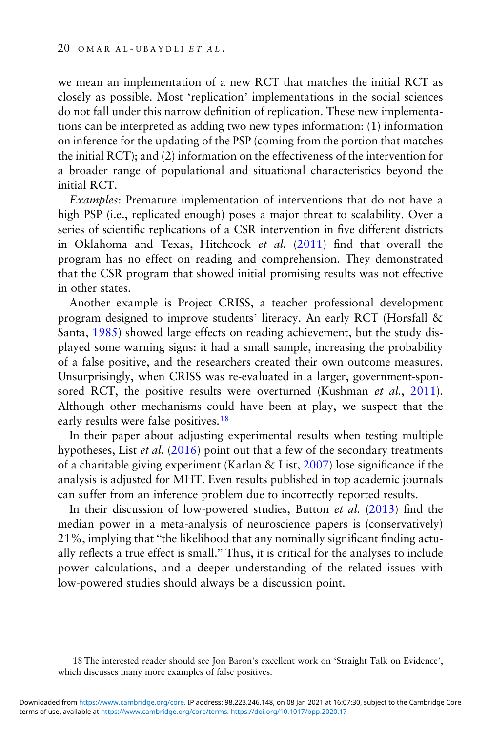we mean an implementation of a new RCT that matches the initial RCT as closely as possible. Most 'replication' implementations in the social sciences do not fall under this narrow definition of replication. These new implementations can be interpreted as adding two new types information: (1) information on inference for the updating of the PSP (coming from the portion that matches the initial RCT); and (2) information on the effectiveness of the intervention for a broader range of populational and situational characteristics beyond the initial RCT.

Examples: Premature implementation of interventions that do not have a high PSP (i.e., replicated enough) poses a major threat to scalability. Over a series of scientific replications of a CSR intervention in five different districts in Oklahoma and Texas, Hitchcock et al. [\(2011\)](#page-45-0) find that overall the program has no effect on reading and comprehension. They demonstrated that the CSR program that showed initial promising results was not effective in other states.

Another example is Project CRISS, a teacher professional development program designed to improve students' literacy. An early RCT (Horsfall & Santa, [1985](#page-45-0)) showed large effects on reading achievement, but the study displayed some warning signs: it had a small sample, increasing the probability of a false positive, and the researchers created their own outcome measures. Unsurprisingly, when CRISS was re-evaluated in a larger, government-spon-sored RCT, the positive results were overturned (Kushman et al., [2011](#page-46-0)). Although other mechanisms could have been at play, we suspect that the early results were false positives.<sup>18</sup>

In their paper about adjusting experimental results when testing multiple hypotheses, List et al. [\(2016\)](#page-46-0) point out that a few of the secondary treatments of a charitable giving experiment (Karlan & List,  $2007$ ) lose significance if the analysis is adjusted for MHT. Even results published in top academic journals can suffer from an inference problem due to incorrectly reported results.

In their discussion of low-powered studies, Button et al. ([2013](#page-43-0)) find the median power in a meta-analysis of neuroscience papers is (conservatively) 21%, implying that "the likelihood that any nominally significant finding actually reflects a true effect is small." Thus, it is critical for the analyses to include power calculations, and a deeper understanding of the related issues with low-powered studies should always be a discussion point.

18 The interested reader should see Jon Baron's excellent work on 'Straight Talk on Evidence', which discusses many more examples of false positives.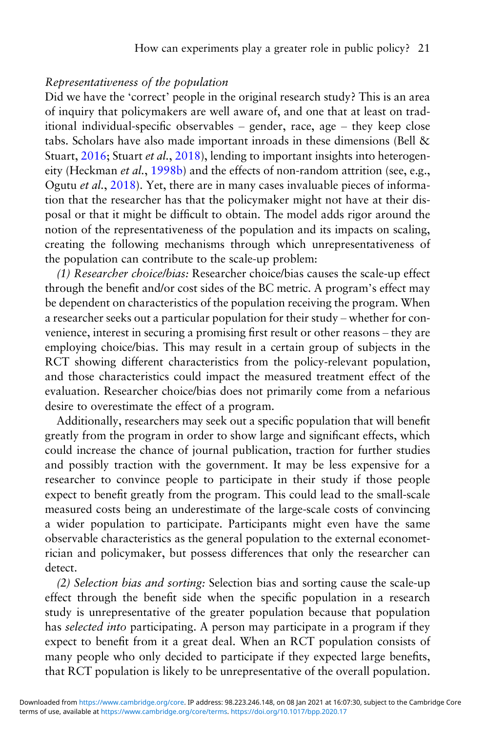### Representativeness of the population

Did we have the 'correct' people in the original research study? This is an area of inquiry that policymakers are well aware of, and one that at least on traditional individual-specific observables – gender, race, age – they keep close tabs. Scholars have also made important inroads in these dimensions (Bell & Stuart, [2016](#page-43-0); Stuart et al., [2018](#page-47-0)), lending to important insights into heterogen-eity (Heckman et al., [1998b](#page-45-0)) and the effects of non-random attrition (see, e.g., Ogutu et al., [2018\)](#page-46-0). Yet, there are in many cases invaluable pieces of information that the researcher has that the policymaker might not have at their disposal or that it might be difficult to obtain. The model adds rigor around the notion of the representativeness of the population and its impacts on scaling, creating the following mechanisms through which unrepresentativeness of the population can contribute to the scale-up problem:

(1) Researcher choice/bias: Researcher choice/bias causes the scale-up effect through the benefit and/or cost sides of the BC metric. A program's effect may be dependent on characteristics of the population receiving the program. When a researcher seeks out a particular population for their study – whether for convenience, interest in securing a promising first result or other reasons – they are employing choice/bias. This may result in a certain group of subjects in the RCT showing different characteristics from the policy-relevant population, and those characteristics could impact the measured treatment effect of the evaluation. Researcher choice/bias does not primarily come from a nefarious desire to overestimate the effect of a program.

Additionally, researchers may seek out a specific population that will benefit greatly from the program in order to show large and significant effects, which could increase the chance of journal publication, traction for further studies and possibly traction with the government. It may be less expensive for a researcher to convince people to participate in their study if those people expect to benefit greatly from the program. This could lead to the small-scale measured costs being an underestimate of the large-scale costs of convincing a wider population to participate. Participants might even have the same observable characteristics as the general population to the external econometrician and policymaker, but possess differences that only the researcher can detect.

(2) Selection bias and sorting: Selection bias and sorting cause the scale-up effect through the benefit side when the specific population in a research study is unrepresentative of the greater population because that population has selected into participating. A person may participate in a program if they expect to benefit from it a great deal. When an RCT population consists of many people who only decided to participate if they expected large benefits, that RCT population is likely to be unrepresentative of the overall population.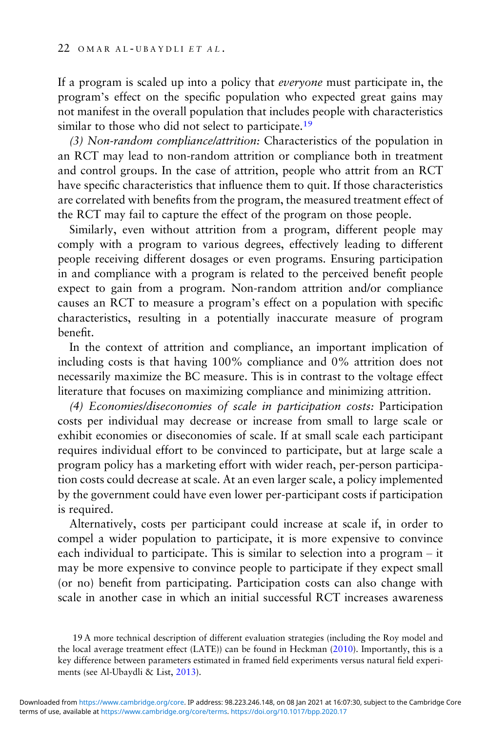If a program is scaled up into a policy that everyone must participate in, the program's effect on the specific population who expected great gains may not manifest in the overall population that includes people with characteristics similar to those who did not select to participate.<sup>19</sup>

(3) Non-random compliance/attrition: Characteristics of the population in an RCT may lead to non-random attrition or compliance both in treatment and control groups. In the case of attrition, people who attrit from an RCT have specific characteristics that influence them to quit. If those characteristics are correlated with benefits from the program, the measured treatment effect of the RCT may fail to capture the effect of the program on those people.

Similarly, even without attrition from a program, different people may comply with a program to various degrees, effectively leading to different people receiving different dosages or even programs. Ensuring participation in and compliance with a program is related to the perceived benefit people expect to gain from a program. Non-random attrition and/or compliance causes an RCT to measure a program's effect on a population with specific characteristics, resulting in a potentially inaccurate measure of program benefit.

In the context of attrition and compliance, an important implication of including costs is that having 100% compliance and 0% attrition does not necessarily maximize the BC measure. This is in contrast to the voltage effect literature that focuses on maximizing compliance and minimizing attrition.

(4) Economies/diseconomies of scale in participation costs: Participation costs per individual may decrease or increase from small to large scale or exhibit economies or diseconomies of scale. If at small scale each participant requires individual effort to be convinced to participate, but at large scale a program policy has a marketing effort with wider reach, per-person participation costs could decrease at scale. At an even larger scale, a policy implemented by the government could have even lower per-participant costs if participation is required.

Alternatively, costs per participant could increase at scale if, in order to compel a wider population to participate, it is more expensive to convince each individual to participate. This is similar to selection into a program – it may be more expensive to convince people to participate if they expect small (or no) benefit from participating. Participation costs can also change with scale in another case in which an initial successful RCT increases awareness

<sup>19</sup> A more technical description of different evaluation strategies (including the Roy model and the local average treatment effect (LATE)) can be found in Heckman ([2010\)](#page-45-0). Importantly, this is a key difference between parameters estimated in framed field experiments versus natural field experiments (see Al-Ubaydli & List, [2013\)](#page-42-0).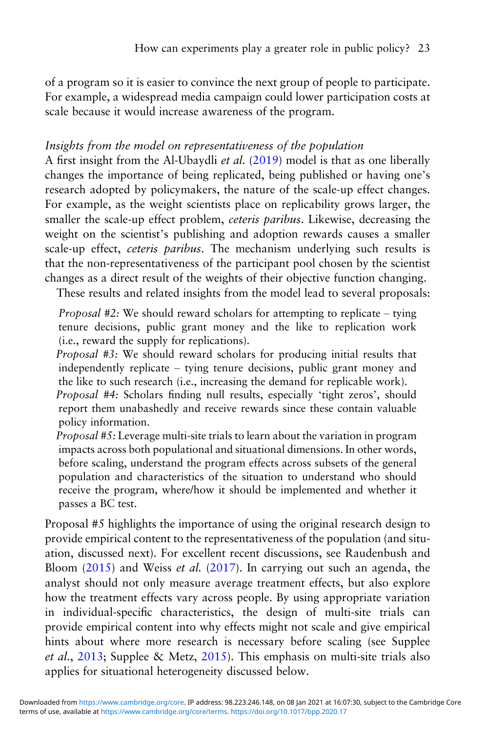of a program so it is easier to convince the next group of people to participate. For example, a widespread media campaign could lower participation costs at scale because it would increase awareness of the program.

### Insights from the model on representativeness of the population

A first insight from the Al-Ubaydli et al. [\(2019\)](#page-43-0) model is that as one liberally changes the importance of being replicated, being published or having one's research adopted by policymakers, the nature of the scale-up effect changes. For example, as the weight scientists place on replicability grows larger, the smaller the scale-up effect problem, ceteris paribus. Likewise, decreasing the weight on the scientist's publishing and adoption rewards causes a smaller scale-up effect, *ceteris paribus*. The mechanism underlying such results is that the non-representativeness of the participant pool chosen by the scientist changes as a direct result of the weights of their objective function changing.

These results and related insights from the model lead to several proposals:

Proposal #2: We should reward scholars for attempting to replicate – tying tenure decisions, public grant money and the like to replication work (i.e., reward the supply for replications).

Proposal #3: We should reward scholars for producing initial results that independently replicate – tying tenure decisions, public grant money and the like to such research (i.e., increasing the demand for replicable work). Proposal #4: Scholars finding null results, especially 'tight zeros', should report them unabashedly and receive rewards since these contain valuable policy information.

Proposal #5: Leverage multi-site trials to learn about the variation in program impacts across both populational and situational dimensions. In other words, before scaling, understand the program effects across subsets of the general population and characteristics of the situation to understand who should receive the program, where/how it should be implemented and whether it passes a BC test.

Proposal #5 highlights the importance of using the original research design to provide empirical content to the representativeness of the population (and situation, discussed next). For excellent recent discussions, see Raudenbush and Bloom  $(2015)$  $(2015)$  $(2015)$  and Weiss *et al.*  $(2017)$ . In carrying out such an agenda, the analyst should not only measure average treatment effects, but also explore how the treatment effects vary across people. By using appropriate variation in individual-specific characteristics, the design of multi-site trials can provide empirical content into why effects might not scale and give empirical hints about where more research is necessary before scaling (see Supplee et al., [2013](#page-47-0); Supplee & Metz, [2015](#page-47-0)). This emphasis on multi-site trials also applies for situational heterogeneity discussed below.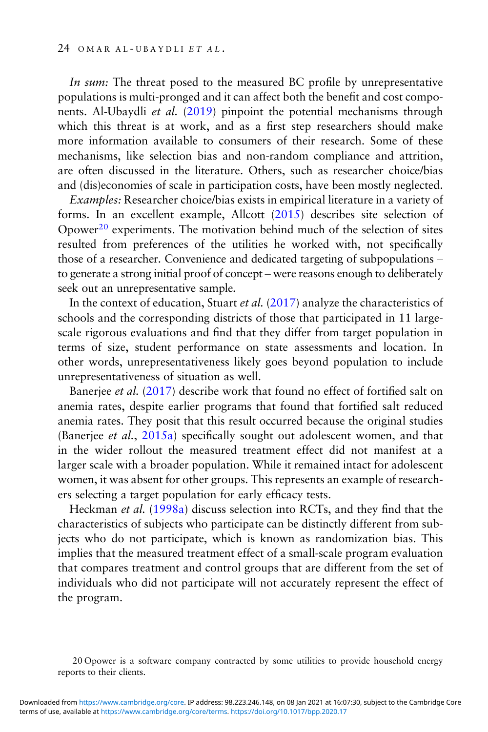In sum: The threat posed to the measured BC profile by unrepresentative populations is multi-pronged and it can affect both the benefit and cost components. Al-Ubaydli et al. ([2019\)](#page-43-0) pinpoint the potential mechanisms through which this threat is at work, and as a first step researchers should make more information available to consumers of their research. Some of these mechanisms, like selection bias and non-random compliance and attrition, are often discussed in the literature. Others, such as researcher choice/bias and (dis)economies of scale in participation costs, have been mostly neglected.

Examples: Researcher choice/bias exists in empirical literature in a variety of forms. In an excellent example, Allcott ([2015](#page-42-0)) describes site selection of Opower<sup>20</sup> experiments. The motivation behind much of the selection of sites resulted from preferences of the utilities he worked with, not specifically those of a researcher. Convenience and dedicated targeting of subpopulations – to generate a strong initial proof of concept – were reasons enough to deliberately seek out an unrepresentative sample.

In the context of education, Stuart et al. [\(2017](#page-47-0)) analyze the characteristics of schools and the corresponding districts of those that participated in 11 largescale rigorous evaluations and find that they differ from target population in terms of size, student performance on state assessments and location. In other words, unrepresentativeness likely goes beyond population to include unrepresentativeness of situation as well.

Banerjee et al. ([2017\)](#page-43-0) describe work that found no effect of fortified salt on anemia rates, despite earlier programs that found that fortified salt reduced anemia rates. They posit that this result occurred because the original studies (Banerjee et al., [2015a](#page-43-0)) specifically sought out adolescent women, and that in the wider rollout the measured treatment effect did not manifest at a larger scale with a broader population. While it remained intact for adolescent women, it was absent for other groups. This represents an example of researchers selecting a target population for early efficacy tests.

Heckman et al. [\(1998a\)](#page-45-0) discuss selection into RCTs, and they find that the characteristics of subjects who participate can be distinctly different from subjects who do not participate, which is known as randomization bias. This implies that the measured treatment effect of a small-scale program evaluation that compares treatment and control groups that are different from the set of individuals who did not participate will not accurately represent the effect of the program.

20 Opower is a software company contracted by some utilities to provide household energy reports to their clients.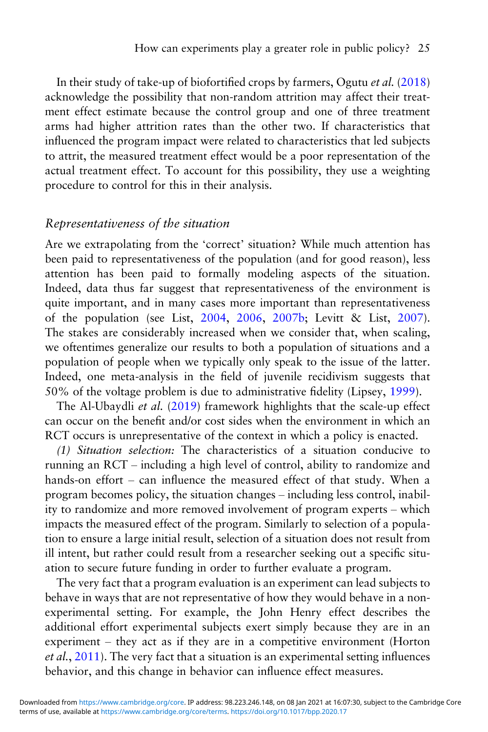In their study of take-up of biofortified crops by farmers, Ogutu et al. ([2018\)](#page-46-0) acknowledge the possibility that non-random attrition may affect their treatment effect estimate because the control group and one of three treatment arms had higher attrition rates than the other two. If characteristics that influenced the program impact were related to characteristics that led subjects to attrit, the measured treatment effect would be a poor representation of the actual treatment effect. To account for this possibility, they use a weighting procedure to control for this in their analysis.

#### Representativeness of the situation

Are we extrapolating from the 'correct' situation? While much attention has been paid to representativeness of the population (and for good reason), less attention has been paid to formally modeling aspects of the situation. Indeed, data thus far suggest that representativeness of the environment is quite important, and in many cases more important than representativeness of the population (see List, [2004,](#page-46-0) [2006,](#page-46-0) [2007b](#page-46-0); Levitt & List, [2007\)](#page-46-0). The stakes are considerably increased when we consider that, when scaling, we oftentimes generalize our results to both a population of situations and a population of people when we typically only speak to the issue of the latter. Indeed, one meta-analysis in the field of juvenile recidivism suggests that 50% of the voltage problem is due to administrative fidelity (Lipsey, [1999\)](#page-46-0).

The Al-Ubaydli et al. [\(2019\)](#page-43-0) framework highlights that the scale-up effect can occur on the benefit and/or cost sides when the environment in which an RCT occurs is unrepresentative of the context in which a policy is enacted.

(1) Situation selection: The characteristics of a situation conducive to running an RCT – including a high level of control, ability to randomize and hands-on effort – can influence the measured effect of that study. When a program becomes policy, the situation changes – including less control, inability to randomize and more removed involvement of program experts – which impacts the measured effect of the program. Similarly to selection of a population to ensure a large initial result, selection of a situation does not result from ill intent, but rather could result from a researcher seeking out a specific situation to secure future funding in order to further evaluate a program.

The very fact that a program evaluation is an experiment can lead subjects to behave in ways that are not representative of how they would behave in a nonexperimental setting. For example, the John Henry effect describes the additional effort experimental subjects exert simply because they are in an experiment – they act as if they are in a competitive environment (Horton et al., [2011](#page-45-0)). The very fact that a situation is an experimental setting influences behavior, and this change in behavior can influence effect measures.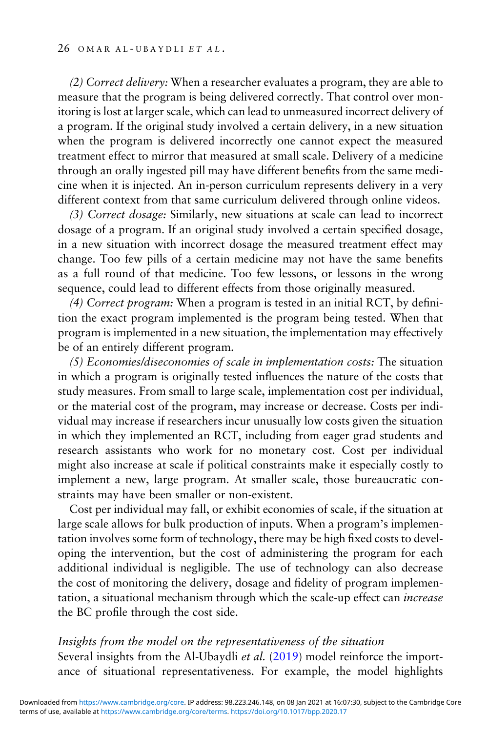(2) Correct delivery: When a researcher evaluates a program, they are able to measure that the program is being delivered correctly. That control over monitoring is lost at larger scale, which can lead to unmeasured incorrect delivery of a program. If the original study involved a certain delivery, in a new situation when the program is delivered incorrectly one cannot expect the measured treatment effect to mirror that measured at small scale. Delivery of a medicine through an orally ingested pill may have different benefits from the same medicine when it is injected. An in-person curriculum represents delivery in a very different context from that same curriculum delivered through online videos.

(3) Correct dosage: Similarly, new situations at scale can lead to incorrect dosage of a program. If an original study involved a certain specified dosage, in a new situation with incorrect dosage the measured treatment effect may change. Too few pills of a certain medicine may not have the same benefits as a full round of that medicine. Too few lessons, or lessons in the wrong sequence, could lead to different effects from those originally measured.

(4) Correct program: When a program is tested in an initial RCT, by definition the exact program implemented is the program being tested. When that program is implemented in a new situation, the implementation may effectively be of an entirely different program.

(5) Economies/diseconomies of scale in implementation costs: The situation in which a program is originally tested influences the nature of the costs that study measures. From small to large scale, implementation cost per individual, or the material cost of the program, may increase or decrease. Costs per individual may increase if researchers incur unusually low costs given the situation in which they implemented an RCT, including from eager grad students and research assistants who work for no monetary cost. Cost per individual might also increase at scale if political constraints make it especially costly to implement a new, large program. At smaller scale, those bureaucratic constraints may have been smaller or non-existent.

Cost per individual may fall, or exhibit economies of scale, if the situation at large scale allows for bulk production of inputs. When a program's implementation involves some form of technology, there may be high fixed costs to developing the intervention, but the cost of administering the program for each additional individual is negligible. The use of technology can also decrease the cost of monitoring the delivery, dosage and fidelity of program implementation, a situational mechanism through which the scale-up effect can increase the BC profile through the cost side.

#### Insights from the model on the representativeness of the situation

Several insights from the Al-Ubaydli et al. ([2019\)](#page-43-0) model reinforce the importance of situational representativeness. For example, the model highlights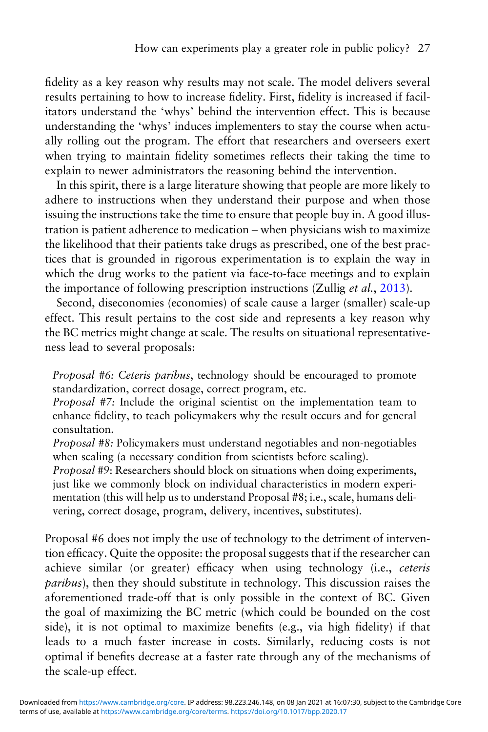fidelity as a key reason why results may not scale. The model delivers several results pertaining to how to increase fidelity. First, fidelity is increased if facilitators understand the 'whys' behind the intervention effect. This is because understanding the 'whys' induces implementers to stay the course when actually rolling out the program. The effort that researchers and overseers exert when trying to maintain fidelity sometimes reflects their taking the time to explain to newer administrators the reasoning behind the intervention.

In this spirit, there is a large literature showing that people are more likely to adhere to instructions when they understand their purpose and when those issuing the instructions take the time to ensure that people buy in. A good illustration is patient adherence to medication – when physicians wish to maximize the likelihood that their patients take drugs as prescribed, one of the best practices that is grounded in rigorous experimentation is to explain the way in which the drug works to the patient via face-to-face meetings and to explain the importance of following prescription instructions (Zullig *et al.*, [2013](#page-47-0)).

Second, diseconomies (economies) of scale cause a larger (smaller) scale-up effect. This result pertains to the cost side and represents a key reason why the BC metrics might change at scale. The results on situational representativeness lead to several proposals:

Proposal #6: Ceteris paribus, technology should be encouraged to promote standardization, correct dosage, correct program, etc.

Proposal #7: Include the original scientist on the implementation team to enhance fidelity, to teach policymakers why the result occurs and for general consultation.

Proposal #8: Policymakers must understand negotiables and non-negotiables when scaling (a necessary condition from scientists before scaling).

Proposal #9: Researchers should block on situations when doing experiments, just like we commonly block on individual characteristics in modern experimentation (this will help us to understand Proposal #8; i.e., scale, humans delivering, correct dosage, program, delivery, incentives, substitutes).

Proposal #6 does not imply the use of technology to the detriment of intervention efficacy. Quite the opposite: the proposal suggests that if the researcher can achieve similar (or greater) efficacy when using technology (i.e., ceteris paribus), then they should substitute in technology. This discussion raises the aforementioned trade-off that is only possible in the context of BC. Given the goal of maximizing the BC metric (which could be bounded on the cost side), it is not optimal to maximize benefits (e.g., via high fidelity) if that leads to a much faster increase in costs. Similarly, reducing costs is not optimal if benefits decrease at a faster rate through any of the mechanisms of the scale-up effect.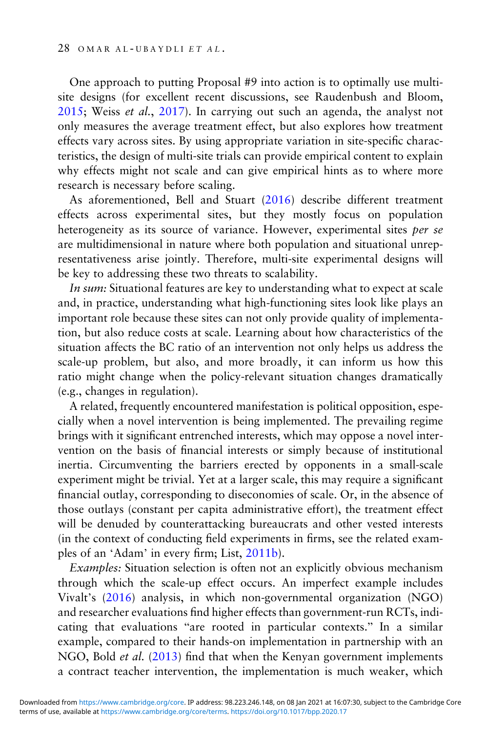One approach to putting Proposal #9 into action is to optimally use multisite designs (for excellent recent discussions, see Raudenbush and Bloom, [2015;](#page-47-0) Weiss et al., [2017\)](#page-47-0). In carrying out such an agenda, the analyst not only measures the average treatment effect, but also explores how treatment effects vary across sites. By using appropriate variation in site-specific characteristics, the design of multi-site trials can provide empirical content to explain why effects might not scale and can give empirical hints as to where more research is necessary before scaling.

As aforementioned, Bell and Stuart [\(2016\)](#page-43-0) describe different treatment effects across experimental sites, but they mostly focus on population heterogeneity as its source of variance. However, experimental sites per se are multidimensional in nature where both population and situational unrepresentativeness arise jointly. Therefore, multi-site experimental designs will be key to addressing these two threats to scalability.

In sum: Situational features are key to understanding what to expect at scale and, in practice, understanding what high-functioning sites look like plays an important role because these sites can not only provide quality of implementation, but also reduce costs at scale. Learning about how characteristics of the situation affects the BC ratio of an intervention not only helps us address the scale-up problem, but also, and more broadly, it can inform us how this ratio might change when the policy-relevant situation changes dramatically (e.g., changes in regulation).

A related, frequently encountered manifestation is political opposition, especially when a novel intervention is being implemented. The prevailing regime brings with it significant entrenched interests, which may oppose a novel intervention on the basis of financial interests or simply because of institutional inertia. Circumventing the barriers erected by opponents in a small-scale experiment might be trivial. Yet at a larger scale, this may require a significant financial outlay, corresponding to diseconomies of scale. Or, in the absence of those outlays (constant per capita administrative effort), the treatment effect will be denuded by counterattacking bureaucrats and other vested interests (in the context of conducting field experiments in firms, see the related examples of an 'Adam' in every firm; List, [2011b](#page-46-0)).

Examples: Situation selection is often not an explicitly obvious mechanism through which the scale-up effect occurs. An imperfect example includes Vivalt's ([2016](#page-47-0)) analysis, in which non-governmental organization (NGO) and researcher evaluations find higher effects than government-run RCTs, indicating that evaluations "are rooted in particular contexts." In a similar example, compared to their hands-on implementation in partnership with an NGO, Bold et al. [\(2013\)](#page-43-0) find that when the Kenyan government implements a contract teacher intervention, the implementation is much weaker, which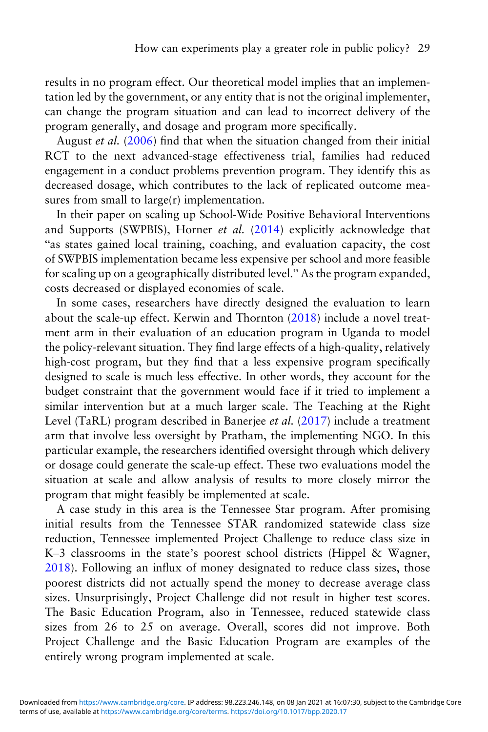results in no program effect. Our theoretical model implies that an implementation led by the government, or any entity that is not the original implementer, can change the program situation and can lead to incorrect delivery of the program generally, and dosage and program more specifically.

August et al. [\(2006](#page-43-0)) find that when the situation changed from their initial RCT to the next advanced-stage effectiveness trial, families had reduced engagement in a conduct problems prevention program. They identify this as decreased dosage, which contributes to the lack of replicated outcome measures from small to large(r) implementation.

In their paper on scaling up School-Wide Positive Behavioral Interventions and Supports (SWPBIS), Horner et al. [\(2014](#page-45-0)) explicitly acknowledge that "as states gained local training, coaching, and evaluation capacity, the cost of SWPBIS implementation became less expensive per school and more feasible for scaling up on a geographically distributed level." As the program expanded, costs decreased or displayed economies of scale.

In some cases, researchers have directly designed the evaluation to learn about the scale-up effect. Kerwin and Thornton [\(2018\)](#page-45-0) include a novel treatment arm in their evaluation of an education program in Uganda to model the policy-relevant situation. They find large effects of a high-quality, relatively high-cost program, but they find that a less expensive program specifically designed to scale is much less effective. In other words, they account for the budget constraint that the government would face if it tried to implement a similar intervention but at a much larger scale. The Teaching at the Right Level (TaRL) program described in Banerjee et al. ([2017\)](#page-43-0) include a treatment arm that involve less oversight by Pratham, the implementing NGO. In this particular example, the researchers identified oversight through which delivery or dosage could generate the scale-up effect. These two evaluations model the situation at scale and allow analysis of results to more closely mirror the program that might feasibly be implemented at scale.

A case study in this area is the Tennessee Star program. After promising initial results from the Tennessee STAR randomized statewide class size reduction, Tennessee implemented Project Challenge to reduce class size in K–3 classrooms in the state's poorest school districts (Hippel & Wagner, [2018](#page-45-0)). Following an influx of money designated to reduce class sizes, those poorest districts did not actually spend the money to decrease average class sizes. Unsurprisingly, Project Challenge did not result in higher test scores. The Basic Education Program, also in Tennessee, reduced statewide class sizes from 26 to 25 on average. Overall, scores did not improve. Both Project Challenge and the Basic Education Program are examples of the entirely wrong program implemented at scale.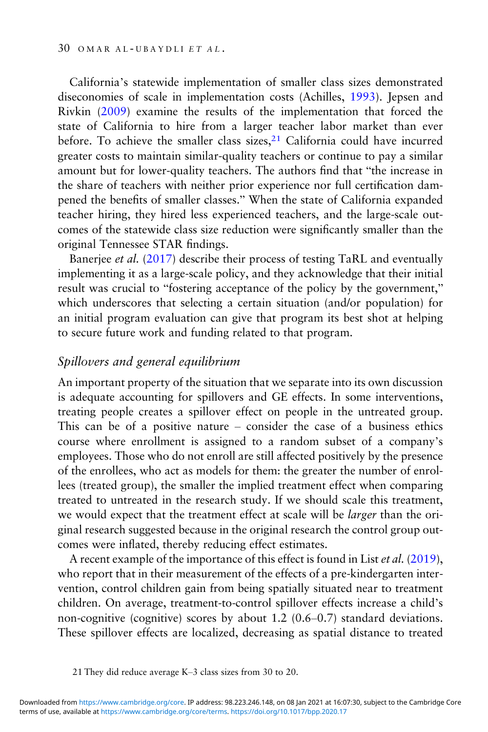California's statewide implementation of smaller class sizes demonstrated diseconomies of scale in implementation costs (Achilles, [1993](#page-42-0)). Jepsen and Rivkin [\(2009\)](#page-45-0) examine the results of the implementation that forced the state of California to hire from a larger teacher labor market than ever before. To achieve the smaller class sizes,<sup>21</sup> California could have incurred greater costs to maintain similar-quality teachers or continue to pay a similar amount but for lower-quality teachers. The authors find that "the increase in the share of teachers with neither prior experience nor full certification dampened the benefits of smaller classes." When the state of California expanded teacher hiring, they hired less experienced teachers, and the large-scale outcomes of the statewide class size reduction were significantly smaller than the original Tennessee STAR findings.

Banerjee et al. [\(2017\)](#page-43-0) describe their process of testing TaRL and eventually implementing it as a large-scale policy, and they acknowledge that their initial result was crucial to "fostering acceptance of the policy by the government," which underscores that selecting a certain situation (and/or population) for an initial program evaluation can give that program its best shot at helping to secure future work and funding related to that program.

#### Spillovers and general equilibrium

An important property of the situation that we separate into its own discussion is adequate accounting for spillovers and GE effects. In some interventions, treating people creates a spillover effect on people in the untreated group. This can be of a positive nature – consider the case of a business ethics course where enrollment is assigned to a random subset of a company's employees. Those who do not enroll are still affected positively by the presence of the enrollees, who act as models for them: the greater the number of enrollees (treated group), the smaller the implied treatment effect when comparing treated to untreated in the research study. If we should scale this treatment, we would expect that the treatment effect at scale will be larger than the original research suggested because in the original research the control group outcomes were inflated, thereby reducing effect estimates.

A recent example of the importance of this effect is found in List et al. [\(2019](#page-46-0)), who report that in their measurement of the effects of a pre-kindergarten intervention, control children gain from being spatially situated near to treatment children. On average, treatment-to-control spillover effects increase a child's non-cognitive (cognitive) scores by about 1.2 (0.6–0.7) standard deviations. These spillover effects are localized, decreasing as spatial distance to treated

<sup>21</sup> They did reduce average K–3 class sizes from 30 to 20.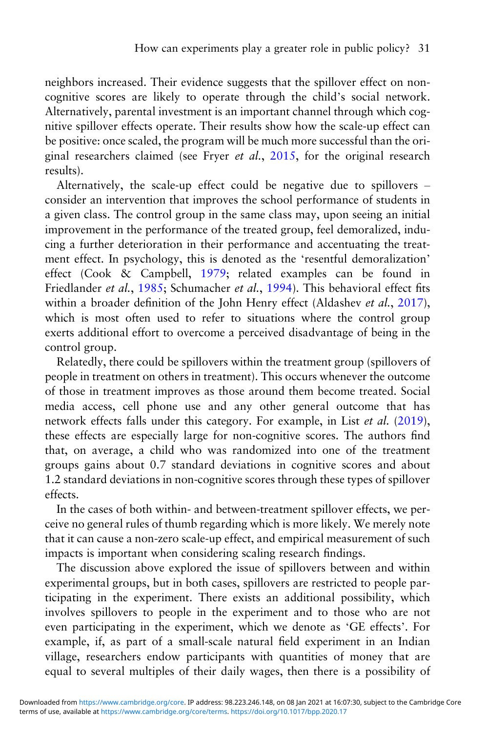neighbors increased. Their evidence suggests that the spillover effect on noncognitive scores are likely to operate through the child's social network. Alternatively, parental investment is an important channel through which cognitive spillover effects operate. Their results show how the scale-up effect can be positive: once scaled, the program will be much more successful than the original researchers claimed (see Fryer et al., [2015](#page-44-0), for the original research results).

Alternatively, the scale-up effect could be negative due to spillovers – consider an intervention that improves the school performance of students in a given class. The control group in the same class may, upon seeing an initial improvement in the performance of the treated group, feel demoralized, inducing a further deterioration in their performance and accentuating the treatment effect. In psychology, this is denoted as the 'resentful demoralization' effect (Cook & Campbell, [1979;](#page-44-0) related examples can be found in Friedlander et al., [1985](#page-44-0); Schumacher et al., [1994](#page-47-0)). This behavioral effect fits within a broader definition of the John Henry effect (Aldashev et al., [2017\)](#page-42-0), which is most often used to refer to situations where the control group exerts additional effort to overcome a perceived disadvantage of being in the control group.

Relatedly, there could be spillovers within the treatment group (spillovers of people in treatment on others in treatment). This occurs whenever the outcome of those in treatment improves as those around them become treated. Social media access, cell phone use and any other general outcome that has network effects falls under this category. For example, in List et al. [\(2019\)](#page-46-0), these effects are especially large for non-cognitive scores. The authors find that, on average, a child who was randomized into one of the treatment groups gains about 0.7 standard deviations in cognitive scores and about 1.2 standard deviations in non-cognitive scores through these types of spillover effects.

In the cases of both within- and between-treatment spillover effects, we perceive no general rules of thumb regarding which is more likely. We merely note that it can cause a non-zero scale-up effect, and empirical measurement of such impacts is important when considering scaling research findings.

The discussion above explored the issue of spillovers between and within experimental groups, but in both cases, spillovers are restricted to people participating in the experiment. There exists an additional possibility, which involves spillovers to people in the experiment and to those who are not even participating in the experiment, which we denote as 'GE effects'. For example, if, as part of a small-scale natural field experiment in an Indian village, researchers endow participants with quantities of money that are equal to several multiples of their daily wages, then there is a possibility of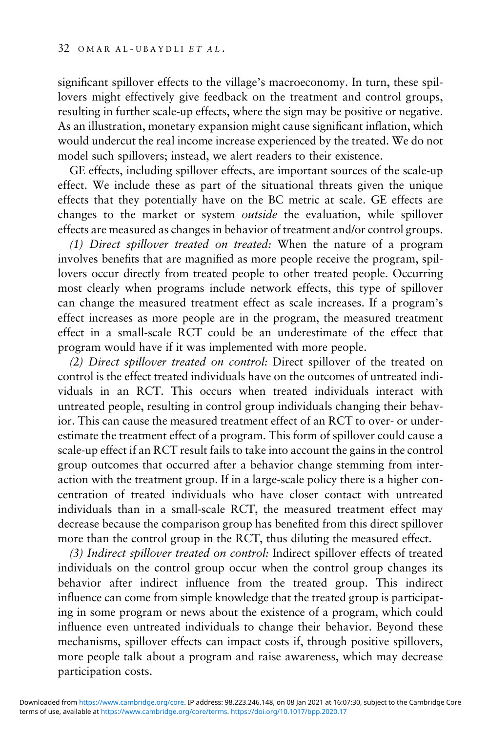significant spillover effects to the village's macroeconomy. In turn, these spillovers might effectively give feedback on the treatment and control groups, resulting in further scale-up effects, where the sign may be positive or negative. As an illustration, monetary expansion might cause significant inflation, which would undercut the real income increase experienced by the treated. We do not model such spillovers; instead, we alert readers to their existence.

GE effects, including spillover effects, are important sources of the scale-up effect. We include these as part of the situational threats given the unique effects that they potentially have on the BC metric at scale. GE effects are changes to the market or system outside the evaluation, while spillover effects are measured as changes in behavior of treatment and/or control groups.

(1) Direct spillover treated on treated: When the nature of a program involves benefits that are magnified as more people receive the program, spillovers occur directly from treated people to other treated people. Occurring most clearly when programs include network effects, this type of spillover can change the measured treatment effect as scale increases. If a program's effect increases as more people are in the program, the measured treatment effect in a small-scale RCT could be an underestimate of the effect that program would have if it was implemented with more people.

(2) Direct spillover treated on control: Direct spillover of the treated on control is the effect treated individuals have on the outcomes of untreated individuals in an RCT. This occurs when treated individuals interact with untreated people, resulting in control group individuals changing their behavior. This can cause the measured treatment effect of an RCT to over- or underestimate the treatment effect of a program. This form of spillover could cause a scale-up effect if an RCT result fails to take into account the gains in the control group outcomes that occurred after a behavior change stemming from interaction with the treatment group. If in a large-scale policy there is a higher concentration of treated individuals who have closer contact with untreated individuals than in a small-scale RCT, the measured treatment effect may decrease because the comparison group has benefited from this direct spillover more than the control group in the RCT, thus diluting the measured effect.

(3) Indirect spillover treated on control: Indirect spillover effects of treated individuals on the control group occur when the control group changes its behavior after indirect influence from the treated group. This indirect influence can come from simple knowledge that the treated group is participating in some program or news about the existence of a program, which could influence even untreated individuals to change their behavior. Beyond these mechanisms, spillover effects can impact costs if, through positive spillovers, more people talk about a program and raise awareness, which may decrease participation costs.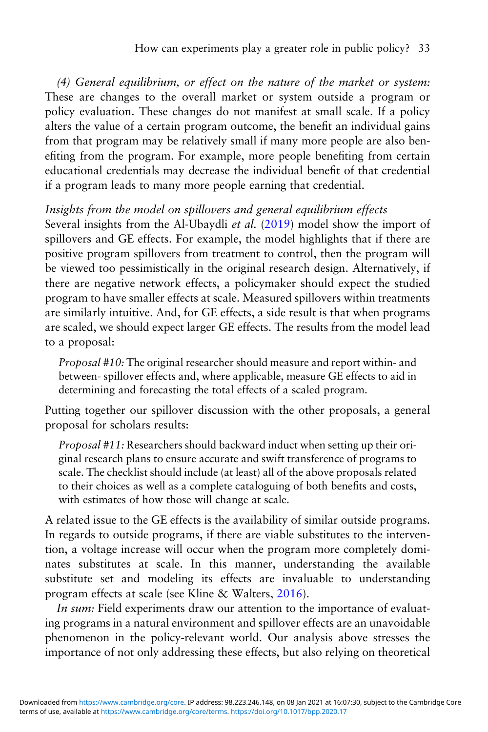(4) General equilibrium, or effect on the nature of the market or system: These are changes to the overall market or system outside a program or policy evaluation. These changes do not manifest at small scale. If a policy alters the value of a certain program outcome, the benefit an individual gains from that program may be relatively small if many more people are also benefiting from the program. For example, more people benefiting from certain educational credentials may decrease the individual benefit of that credential if a program leads to many more people earning that credential.

### Insights from the model on spillovers and general equilibrium effects

Several insights from the Al-Ubaydli et al. ([2019](#page-43-0)) model show the import of spillovers and GE effects. For example, the model highlights that if there are positive program spillovers from treatment to control, then the program will be viewed too pessimistically in the original research design. Alternatively, if there are negative network effects, a policymaker should expect the studied program to have smaller effects at scale. Measured spillovers within treatments are similarly intuitive. And, for GE effects, a side result is that when programs are scaled, we should expect larger GE effects. The results from the model lead to a proposal:

Proposal #10: The original researcher should measure and report within- and between- spillover effects and, where applicable, measure GE effects to aid in determining and forecasting the total effects of a scaled program.

Putting together our spillover discussion with the other proposals, a general proposal for scholars results:

Proposal #11: Researchers should backward induct when setting up their original research plans to ensure accurate and swift transference of programs to scale. The checklist should include (at least) all of the above proposals related to their choices as well as a complete cataloguing of both benefits and costs, with estimates of how those will change at scale.

A related issue to the GE effects is the availability of similar outside programs. In regards to outside programs, if there are viable substitutes to the intervention, a voltage increase will occur when the program more completely dominates substitutes at scale. In this manner, understanding the available substitute set and modeling its effects are invaluable to understanding program effects at scale (see Kline & Walters, [2016](#page-46-0)).

In sum: Field experiments draw our attention to the importance of evaluating programs in a natural environment and spillover effects are an unavoidable phenomenon in the policy-relevant world. Our analysis above stresses the importance of not only addressing these effects, but also relying on theoretical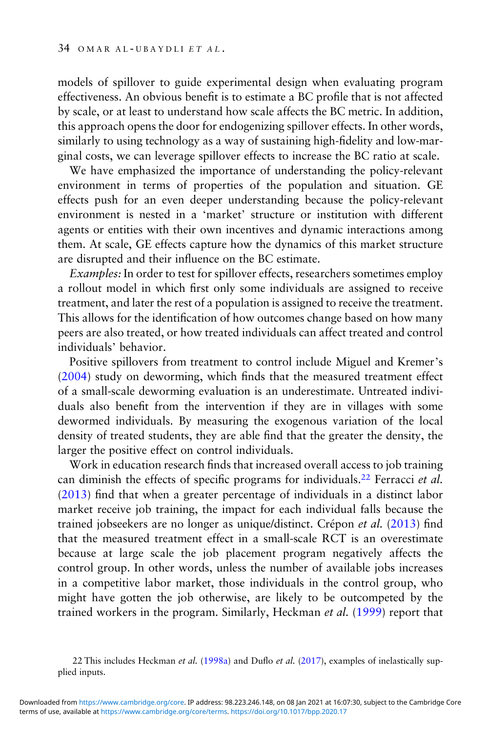models of spillover to guide experimental design when evaluating program effectiveness. An obvious benefit is to estimate a BC profile that is not affected by scale, or at least to understand how scale affects the BC metric. In addition, this approach opens the door for endogenizing spillover effects. In other words, similarly to using technology as a way of sustaining high-fidelity and low-marginal costs, we can leverage spillover effects to increase the BC ratio at scale.

We have emphasized the importance of understanding the policy-relevant environment in terms of properties of the population and situation. GE effects push for an even deeper understanding because the policy-relevant environment is nested in a 'market' structure or institution with different agents or entities with their own incentives and dynamic interactions among them. At scale, GE effects capture how the dynamics of this market structure are disrupted and their influence on the BC estimate.

Examples: In order to test for spillover effects, researchers sometimes employ a rollout model in which first only some individuals are assigned to receive treatment, and later the rest of a population is assigned to receive the treatment. This allows for the identification of how outcomes change based on how many peers are also treated, or how treated individuals can affect treated and control individuals' behavior.

Positive spillovers from treatment to control include Miguel and Kremer's [\(2004\)](#page-46-0) study on deworming, which finds that the measured treatment effect of a small-scale deworming evaluation is an underestimate. Untreated individuals also benefit from the intervention if they are in villages with some dewormed individuals. By measuring the exogenous variation of the local density of treated students, they are able find that the greater the density, the larger the positive effect on control individuals.

Work in education research finds that increased overall access to job training can diminish the effects of specific programs for individuals.<sup>22</sup> Ferracci et al. [\(2013\)](#page-44-0) find that when a greater percentage of individuals in a distinct labor market receive job training, the impact for each individual falls because the trained jobseekers are no longer as unique/distinct. Crépon et al. ([2013](#page-44-0)) find that the measured treatment effect in a small-scale RCT is an overestimate because at large scale the job placement program negatively affects the control group. In other words, unless the number of available jobs increases in a competitive labor market, those individuals in the control group, who might have gotten the job otherwise, are likely to be outcompeted by the trained workers in the program. Similarly, Heckman et al. [\(1999](#page-45-0)) report that

<sup>22</sup> This includes Heckman et al. ([1998a](#page-45-0)) and Duflo et al. ([2017](#page-44-0)), examples of inelastically supplied inputs.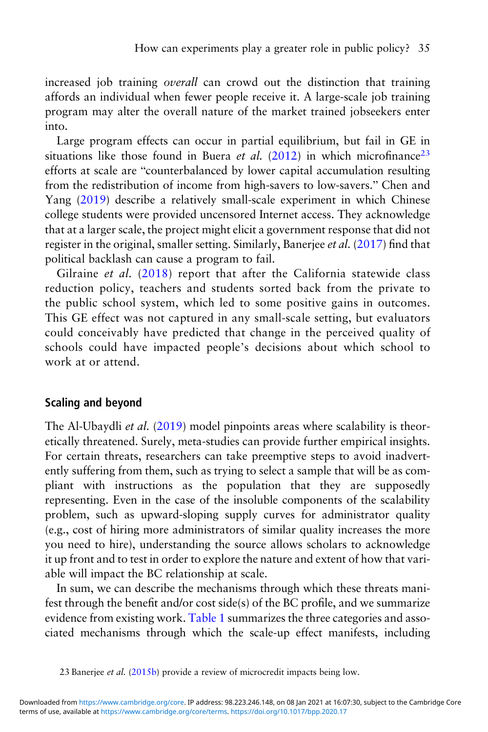increased job training *overall* can crowd out the distinction that training affords an individual when fewer people receive it. A large-scale job training program may alter the overall nature of the market trained jobseekers enter into.

Large program effects can occur in partial equilibrium, but fail in GE in situations like those found in Buera et al.  $(2012)$  $(2012)$  in which microfinance<sup>23</sup> efforts at scale are "counterbalanced by lower capital accumulation resulting from the redistribution of income from high-savers to low-savers." Chen and Yang ([2019\)](#page-43-0) describe a relatively small-scale experiment in which Chinese college students were provided uncensored Internet access. They acknowledge that at a larger scale, the project might elicit a government response that did not register in the original, smaller setting. Similarly, Banerjee et al. [\(2017\)](#page-43-0) find that political backlash can cause a program to fail.

Gilraine et al. ([2018\)](#page-44-0) report that after the California statewide class reduction policy, teachers and students sorted back from the private to the public school system, which led to some positive gains in outcomes. This GE effect was not captured in any small-scale setting, but evaluators could conceivably have predicted that change in the perceived quality of schools could have impacted people's decisions about which school to work at or attend.

#### Scaling and beyond

The Al-Ubaydli *et al.* [\(2019](#page-43-0)) model pinpoints areas where scalability is theoretically threatened. Surely, meta-studies can provide further empirical insights. For certain threats, researchers can take preemptive steps to avoid inadvertently suffering from them, such as trying to select a sample that will be as compliant with instructions as the population that they are supposedly representing. Even in the case of the insoluble components of the scalability problem, such as upward-sloping supply curves for administrator quality (e.g., cost of hiring more administrators of similar quality increases the more you need to hire), understanding the source allows scholars to acknowledge it up front and to test in order to explore the nature and extent of how that variable will impact the BC relationship at scale.

In sum, we can describe the mechanisms through which these threats manifest through the benefit and/or cost side(s) of the BC profile, and we summarize evidence from existing work. [Table 1](#page-34-0) summarizes the three categories and associated mechanisms through which the scale-up effect manifests, including

<sup>23</sup> Banerjee et al. [\(2015b](#page-43-0)) provide a review of microcredit impacts being low.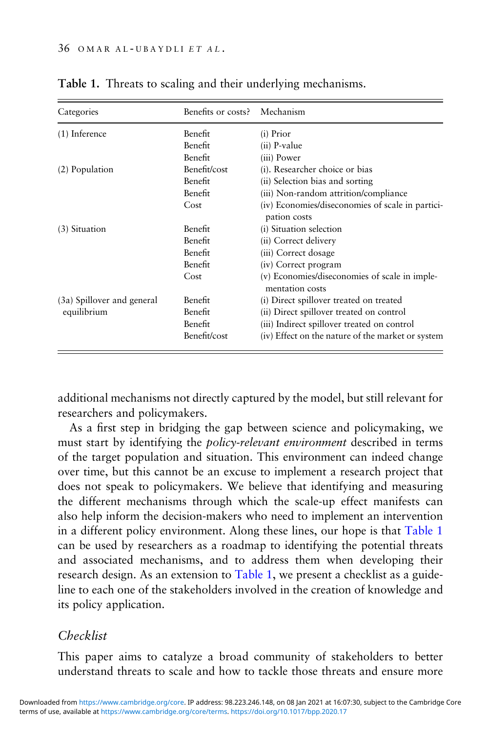| Categories                 | Benefits or costs? | Mechanism                                                        |
|----------------------------|--------------------|------------------------------------------------------------------|
| $(1)$ Inference            | Benefit            | $(i)$ Prior                                                      |
|                            | Benefit            | $(ii)$ P-value                                                   |
|                            | Benefit            | (iii) Power                                                      |
| (2) Population             | Benefit/cost       | (i). Researcher choice or bias                                   |
|                            | Benefit            | (ii) Selection bias and sorting                                  |
|                            | Benefit            | (iii) Non-random attrition/compliance                            |
|                            | Cost               | (iv) Economies/diseconomies of scale in partici-<br>pation costs |
| $(3)$ Situation            | Benefit            | (i) Situation selection                                          |
|                            | Benefit            | (ii) Correct delivery                                            |
|                            | Benefit            | (iii) Correct dosage                                             |
|                            | Benefit            | (iv) Correct program                                             |
|                            | Cost               | (v) Economies/diseconomies of scale in imple-<br>mentation costs |
| (3a) Spillover and general | Benefit            | (i) Direct spillover treated on treated                          |
| equilibrium                | Benefit            | (ii) Direct spillover treated on control                         |
|                            | Benefit            | (iii) Indirect spillover treated on control                      |
|                            | Benefit/cost       | (iv) Effect on the nature of the market or system                |

<span id="page-34-0"></span>Table 1. Threats to scaling and their underlying mechanisms.

additional mechanisms not directly captured by the model, but still relevant for researchers and policymakers.

As a first step in bridging the gap between science and policymaking, we must start by identifying the policy-relevant environment described in terms of the target population and situation. This environment can indeed change over time, but this cannot be an excuse to implement a research project that does not speak to policymakers. We believe that identifying and measuring the different mechanisms through which the scale-up effect manifests can also help inform the decision-makers who need to implement an intervention in a different policy environment. Along these lines, our hope is that Table 1 can be used by researchers as a roadmap to identifying the potential threats and associated mechanisms, and to address them when developing their research design. As an extension to Table 1, we present a checklist as a guideline to each one of the stakeholders involved in the creation of knowledge and its policy application.

# Checklist

This paper aims to catalyze a broad community of stakeholders to better understand threats to scale and how to tackle those threats and ensure more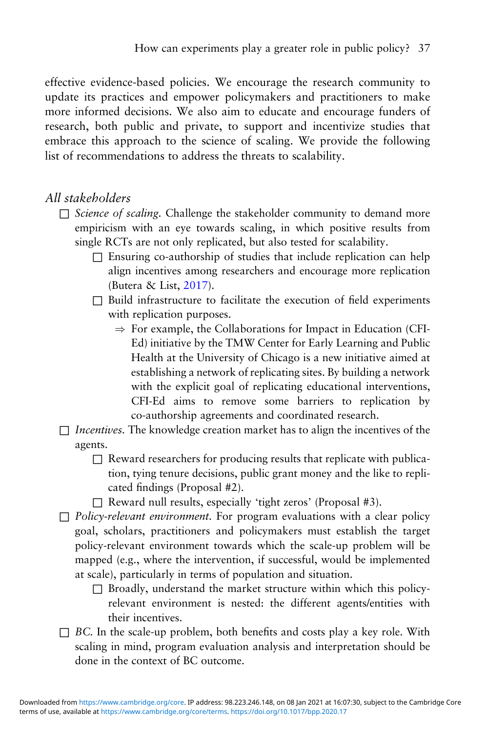effective evidence-based policies. We encourage the research community to update its practices and empower policymakers and practitioners to make more informed decisions. We also aim to educate and encourage funders of research, both public and private, to support and incentivize studies that embrace this approach to the science of scaling. We provide the following list of recommendations to address the threats to scalability.

## All stakeholders

- □ Science of scaling. Challenge the stakeholder community to demand more empiricism with an eye towards scaling, in which positive results from single RCTs are not only replicated, but also tested for scalability.
	- $\square$  Ensuring co-authorship of studies that include replication can help align incentives among researchers and encourage more replication (Butera & List, [2017\)](#page-43-0).
	- □ Build infrastructure to facilitate the execution of field experiments with replication purposes.
		- $\Rightarrow$  For example, the Collaborations for Impact in Education (CFI-Ed) initiative by the TMW Center for Early Learning and Public Health at the University of Chicago is a new initiative aimed at establishing a network of replicating sites. By building a network with the explicit goal of replicating educational interventions, CFI-Ed aims to remove some barriers to replication by co-authorship agreements and coordinated research.
- $\Box$  Incentives. The knowledge creation market has to align the incentives of the agents.
	- $\Box$  Reward researchers for producing results that replicate with publication, tying tenure decisions, public grant money and the like to replicated findings (Proposal #2).
	- □ Reward null results, especially 'tight zeros' (Proposal #3).
- $\Box$  Policy-relevant environment. For program evaluations with a clear policy goal, scholars, practitioners and policymakers must establish the target policy-relevant environment towards which the scale-up problem will be mapped (e.g., where the intervention, if successful, would be implemented at scale), particularly in terms of population and situation.
	- $\square$  Broadly, understand the market structure within which this policyrelevant environment is nested: the different agents/entities with their incentives.
- $\Box$  BC. In the scale-up problem, both benefits and costs play a key role. With scaling in mind, program evaluation analysis and interpretation should be done in the context of BC outcome.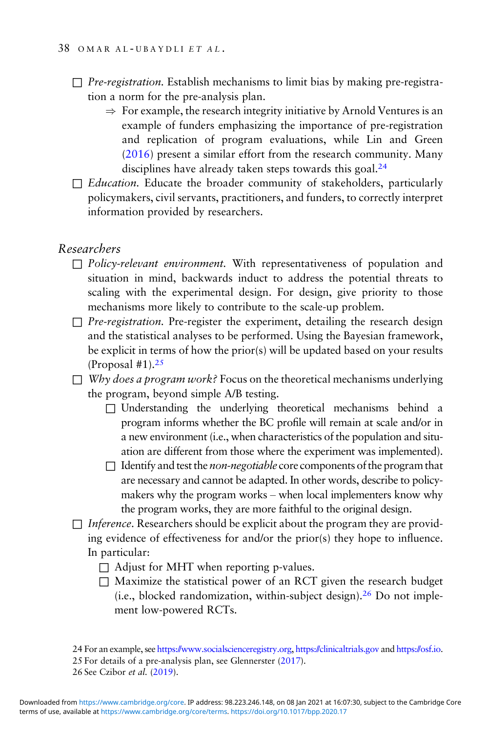- $\Box$  *Pre-registration*. Establish mechanisms to limit bias by making pre-registration a norm for the pre-analysis plan.
	- $\Rightarrow$  For example, the research integrity initiative by Arnold Ventures is an example of funders emphasizing the importance of pre-registration and replication of program evaluations, while Lin and Green ([2016](#page-46-0)) present a similar effort from the research community. Many disciplines have already taken steps towards this goal.<sup>24</sup>
- $\Box$  Education. Educate the broader community of stakeholders, particularly policymakers, civil servants, practitioners, and funders, to correctly interpret information provided by researchers.

#### Researchers

- $\Box$  Policy-relevant environment. With representativeness of population and situation in mind, backwards induct to address the potential threats to scaling with the experimental design. For design, give priority to those mechanisms more likely to contribute to the scale-up problem.
- $\Box$  Pre-registration. Pre-register the experiment, detailing the research design and the statistical analyses to be performed. Using the Bayesian framework, be explicit in terms of how the prior(s) will be updated based on your results (Proposal  $#1$ ).<sup>25</sup>
- $\Box$  Why does a program work? Focus on the theoretical mechanisms underlying the program, beyond simple A/B testing.
	- □ Understanding the underlying theoretical mechanisms behind a program informs whether the BC profile will remain at scale and/or in a new environment (i.e., when characteristics of the population and situation are different from those where the experiment was implemented).
	- $\Box$  Identify and test the *non-negotiable* core components of the program that are necessary and cannot be adapted. In other words, describe to policymakers why the program works – when local implementers know why the program works, they are more faithful to the original design.
- $\Box$  Inference. Researchers should be explicit about the program they are providing evidence of effectiveness for and/or the prior(s) they hope to influence. In particular:
	- $\Box$  Adjust for MHT when reporting p-values.
	- □ Maximize the statistical power of an RCT given the research budget (i.e., blocked randomization, within-subject design).<sup>26</sup> Do not implement low-powered RCTs.

24 For an example, see <https://www.socialscienceregistry.org>, <https://clinicaltrials.gov> and <https://osf.io>.

25 For details of a pre-analysis plan, see Glennerster ([2017](#page-44-0)).

26 See Czibor et al. [\(2019\)](#page-44-0).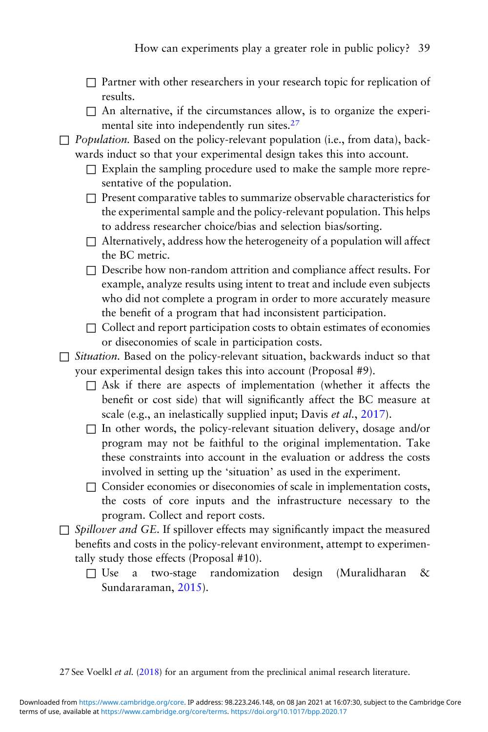- $\Box$  Partner with other researchers in your research topic for replication of results.
- $\Box$  An alternative, if the circumstances allow, is to organize the experimental site into independently run sites.<sup>27</sup>
- $\Box$  Population. Based on the policy-relevant population (i.e., from data), backwards induct so that your experimental design takes this into account.
	- $\Box$  Explain the sampling procedure used to make the sample more representative of the population.
	- $\Box$  Present comparative tables to summarize observable characteristics for the experimental sample and the policy-relevant population. This helps to address researcher choice/bias and selection bias/sorting.
	- $\Box$  Alternatively, address how the heterogeneity of a population will affect the BC metric.
	- $\Box$  Describe how non-random attrition and compliance affect results. For example, analyze results using intent to treat and include even subjects who did not complete a program in order to more accurately measure the benefit of a program that had inconsistent participation.
	- $\Box$  Collect and report participation costs to obtain estimates of economies or diseconomies of scale in participation costs.
- □ Situation. Based on the policy-relevant situation, backwards induct so that your experimental design takes this into account (Proposal #9).
	- $\Box$  Ask if there are aspects of implementation (whether it affects the benefit or cost side) that will significantly affect the BC measure at scale (e.g., an inelastically supplied input; Davis *et al.*, [2017](#page-44-0)).
	- $\Box$  In other words, the policy-relevant situation delivery, dosage and/or program may not be faithful to the original implementation. Take these constraints into account in the evaluation or address the costs involved in setting up the 'situation' as used in the experiment.
	- □ Consider economies or diseconomies of scale in implementation costs, the costs of core inputs and the infrastructure necessary to the program. Collect and report costs.
- $\Box$  Spillover and GE. If spillover effects may significantly impact the measured benefits and costs in the policy-relevant environment, attempt to experimentally study those effects (Proposal #10).
	- $\Box$  Use a two-stage randomization design (Muralidharan & Sundararaman, [2015](#page-46-0)).

27 See Voelkl et al. ([2018\)](#page-47-0) for an argument from the preclinical animal research literature.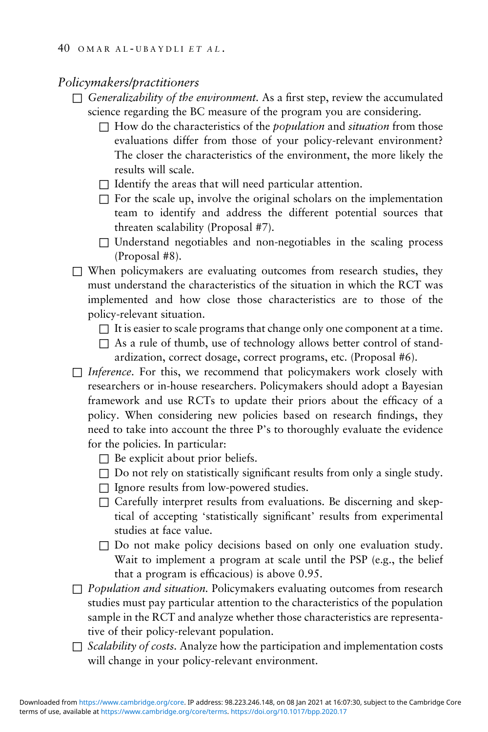#### Policymakers/practitioners

- $\Box$  Generalizability of the environment. As a first step, review the accumulated science regarding the BC measure of the program you are considering.
	- $\Box$  How do the characteristics of the *population* and *situation* from those evaluations differ from those of your policy-relevant environment? The closer the characteristics of the environment, the more likely the results will scale.
	- $\Box$  Identify the areas that will need particular attention.
	- $\Box$  For the scale up, involve the original scholars on the implementation team to identify and address the different potential sources that threaten scalability (Proposal #7).
	- $\square$  Understand negotiables and non-negotiables in the scaling process (Proposal #8).
- $\Box$  When policymakers are evaluating outcomes from research studies, they must understand the characteristics of the situation in which the RCT was implemented and how close those characteristics are to those of the policy-relevant situation.
	- $\Box$  It is easier to scale programs that change only one component at a time.
	- $\Box$  As a rule of thumb, use of technology allows better control of standardization, correct dosage, correct programs, etc. (Proposal #6).
- $\Box$  Inference. For this, we recommend that policymakers work closely with researchers or in-house researchers. Policymakers should adopt a Bayesian framework and use RCTs to update their priors about the efficacy of a policy. When considering new policies based on research findings, they need to take into account the three P's to thoroughly evaluate the evidence for the policies. In particular:
	- $\Box$  Be explicit about prior beliefs.
	- $\Box$  Do not rely on statistically significant results from only a single study.
	- $\Box$  Ignore results from low-powered studies.
	- $\Box$  Carefully interpret results from evaluations. Be discerning and skeptical of accepting 'statistically significant' results from experimental studies at face value.
	- $\square$  Do not make policy decisions based on only one evaluation study. Wait to implement a program at scale until the PSP (e.g., the belief that a program is efficacious) is above 0.95.
- $\Box$  Population and situation. Policymakers evaluating outcomes from research studies must pay particular attention to the characteristics of the population sample in the RCT and analyze whether those characteristics are representative of their policy-relevant population.
- $\Box$  Scalability of costs. Analyze how the participation and implementation costs will change in your policy-relevant environment.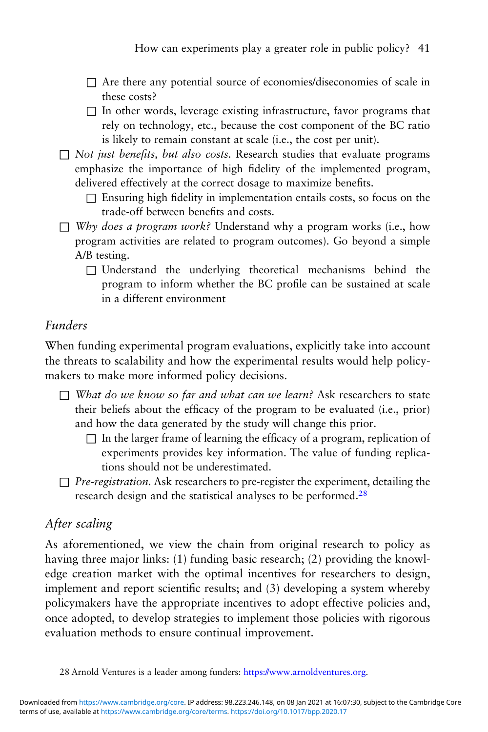- $\Box$  Are there any potential source of economies/diseconomies of scale in these costs?
- $\Box$  In other words, leverage existing infrastructure, favor programs that rely on technology, etc., because the cost component of the BC ratio is likely to remain constant at scale (i.e., the cost per unit).
- $\Box$  Not just benefits, but also costs. Research studies that evaluate programs emphasize the importance of high fidelity of the implemented program, delivered effectively at the correct dosage to maximize benefits.
	- $\Box$  Ensuring high fidelity in implementation entails costs, so focus on the trade-off between benefits and costs.
- $\Box$  Why does a program work? Understand why a program works (i.e., how program activities are related to program outcomes). Go beyond a simple A/B testing.
	- $\square$  Understand the underlying theoretical mechanisms behind the program to inform whether the BC profile can be sustained at scale in a different environment

# Funders

When funding experimental program evaluations, explicitly take into account the threats to scalability and how the experimental results would help policymakers to make more informed policy decisions.

- $\Box$  What do we know so far and what can we learn? Ask researchers to state their beliefs about the efficacy of the program to be evaluated (i.e., prior) and how the data generated by the study will change this prior.
	- $\Box$  In the larger frame of learning the efficacy of a program, replication of experiments provides key information. The value of funding replications should not be underestimated.
- $\Box$  *Pre-registration.* Ask researchers to pre-register the experiment, detailing the research design and the statistical analyses to be performed.28

# After scaling

As aforementioned, we view the chain from original research to policy as having three major links: (1) funding basic research; (2) providing the knowledge creation market with the optimal incentives for researchers to design, implement and report scientific results; and (3) developing a system whereby policymakers have the appropriate incentives to adopt effective policies and, once adopted, to develop strategies to implement those policies with rigorous evaluation methods to ensure continual improvement.

<sup>28</sup> Arnold Ventures is a leader among funders: [https://www.arnoldventures.org.](https://www.arnoldventures.org)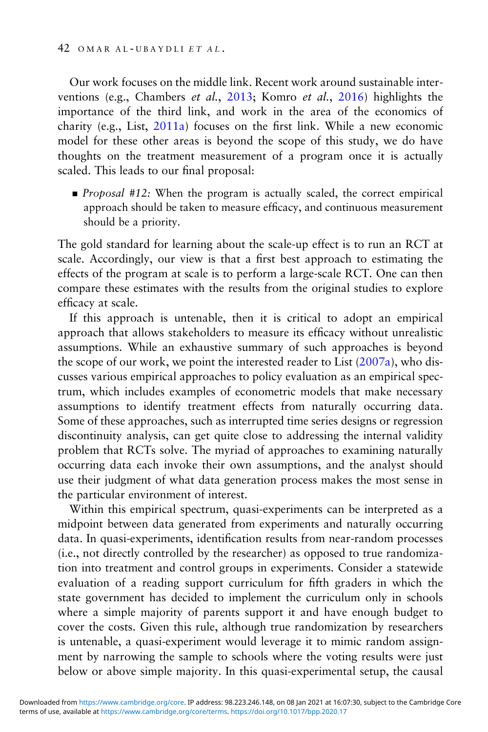Our work focuses on the middle link. Recent work around sustainable interventions (e.g., Chambers et al., [2013](#page-43-0); Komro et al., [2016](#page-46-0)) highlights the importance of the third link, and work in the area of the economics of charity (e.g., List, [2011a](#page-46-0)) focuses on the first link. While a new economic model for these other areas is beyond the scope of this study, we do have thoughts on the treatment measurement of a program once it is actually scaled. This leads to our final proposal:

■ *Proposal* #12: When the program is actually scaled, the correct empirical approach should be taken to measure efficacy, and continuous measurement should be a priority.

The gold standard for learning about the scale-up effect is to run an RCT at scale. Accordingly, our view is that a first best approach to estimating the effects of the program at scale is to perform a large-scale RCT. One can then compare these estimates with the results from the original studies to explore efficacy at scale.

If this approach is untenable, then it is critical to adopt an empirical approach that allows stakeholders to measure its efficacy without unrealistic assumptions. While an exhaustive summary of such approaches is beyond the scope of our work, we point the interested reader to List  $(2007a)$ , who discusses various empirical approaches to policy evaluation as an empirical spectrum, which includes examples of econometric models that make necessary assumptions to identify treatment effects from naturally occurring data. Some of these approaches, such as interrupted time series designs or regression discontinuity analysis, can get quite close to addressing the internal validity problem that RCTs solve. The myriad of approaches to examining naturally occurring data each invoke their own assumptions, and the analyst should use their judgment of what data generation process makes the most sense in the particular environment of interest.

Within this empirical spectrum, quasi-experiments can be interpreted as a midpoint between data generated from experiments and naturally occurring data. In quasi-experiments, identification results from near-random processes (i.e., not directly controlled by the researcher) as opposed to true randomization into treatment and control groups in experiments. Consider a statewide evaluation of a reading support curriculum for fifth graders in which the state government has decided to implement the curriculum only in schools where a simple majority of parents support it and have enough budget to cover the costs. Given this rule, although true randomization by researchers is untenable, a quasi-experiment would leverage it to mimic random assignment by narrowing the sample to schools where the voting results were just below or above simple majority. In this quasi-experimental setup, the causal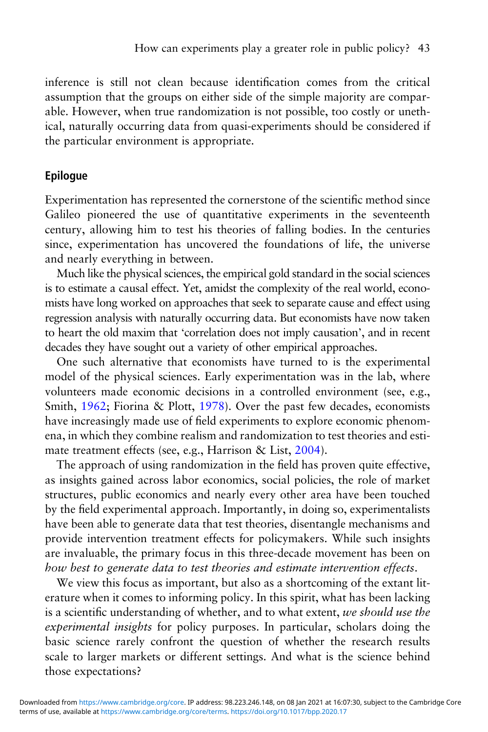inference is still not clean because identification comes from the critical assumption that the groups on either side of the simple majority are comparable. However, when true randomization is not possible, too costly or unethical, naturally occurring data from quasi-experiments should be considered if the particular environment is appropriate.

#### Epilogue

Experimentation has represented the cornerstone of the scientific method since Galileo pioneered the use of quantitative experiments in the seventeenth century, allowing him to test his theories of falling bodies. In the centuries since, experimentation has uncovered the foundations of life, the universe and nearly everything in between.

Much like the physical sciences, the empirical gold standard in the social sciences is to estimate a causal effect. Yet, amidst the complexity of the real world, economists have long worked on approaches that seek to separate cause and effect using regression analysis with naturally occurring data. But economists have now taken to heart the old maxim that 'correlation does not imply causation', and in recent decades they have sought out a variety of other empirical approaches.

One such alternative that economists have turned to is the experimental model of the physical sciences. Early experimentation was in the lab, where volunteers made economic decisions in a controlled environment (see, e.g., Smith, [1962;](#page-47-0) Fiorina & Plott, [1978](#page-44-0)). Over the past few decades, economists have increasingly made use of field experiments to explore economic phenomena, in which they combine realism and randomization to test theories and estimate treatment effects (see, e.g., Harrison & List, [2004](#page-45-0)).

The approach of using randomization in the field has proven quite effective, as insights gained across labor economics, social policies, the role of market structures, public economics and nearly every other area have been touched by the field experimental approach. Importantly, in doing so, experimentalists have been able to generate data that test theories, disentangle mechanisms and provide intervention treatment effects for policymakers. While such insights are invaluable, the primary focus in this three-decade movement has been on how best to generate data to test theories and estimate intervention effects.

We view this focus as important, but also as a shortcoming of the extant literature when it comes to informing policy. In this spirit, what has been lacking is a scientific understanding of whether, and to what extent, we should use the experimental insights for policy purposes. In particular, scholars doing the basic science rarely confront the question of whether the research results scale to larger markets or different settings. And what is the science behind those expectations?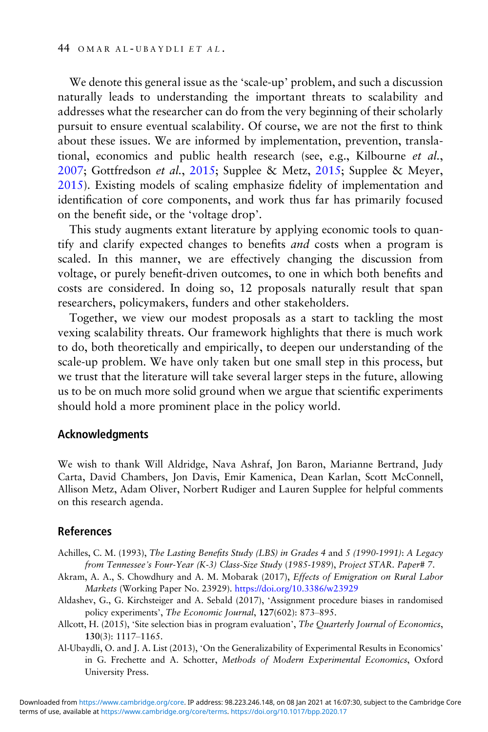<span id="page-42-0"></span>We denote this general issue as the 'scale-up' problem, and such a discussion naturally leads to understanding the important threats to scalability and addresses what the researcher can do from the very beginning of their scholarly pursuit to ensure eventual scalability. Of course, we are not the first to think about these issues. We are informed by implementation, prevention, translational, economics and public health research (see, e.g., Kilbourne et al., [2007;](#page-46-0) Gottfredson et al., [2015](#page-45-0); Supplee & Metz, [2015](#page-47-0); Supplee & Meyer, [2015\)](#page-47-0). Existing models of scaling emphasize fidelity of implementation and identification of core components, and work thus far has primarily focused on the benefit side, or the 'voltage drop'.

This study augments extant literature by applying economic tools to quantify and clarify expected changes to benefits and costs when a program is scaled. In this manner, we are effectively changing the discussion from voltage, or purely benefit-driven outcomes, to one in which both benefits and costs are considered. In doing so, 12 proposals naturally result that span researchers, policymakers, funders and other stakeholders.

Together, we view our modest proposals as a start to tackling the most vexing scalability threats. Our framework highlights that there is much work to do, both theoretically and empirically, to deepen our understanding of the scale-up problem. We have only taken but one small step in this process, but we trust that the literature will take several larger steps in the future, allowing us to be on much more solid ground when we argue that scientific experiments should hold a more prominent place in the policy world.

#### Acknowledgments

We wish to thank Will Aldridge, Nava Ashraf, Jon Baron, Marianne Bertrand, Judy Carta, David Chambers, Jon Davis, Emir Kamenica, Dean Karlan, Scott McConnell, Allison Metz, Adam Oliver, Norbert Rudiger and Lauren Supplee for helpful comments on this research agenda.

#### References

- Achilles, C. M. (1993), The Lasting Benefits Study (LBS) in Grades 4 and 5 (1990-1991): A Legacy from Tennessee's Four-Year (K-3) Class-Size Study (1985-1989), Project STAR. Paper# 7.
- Akram, A. A., S. Chowdhury and A. M. Mobarak (2017), Effects of Emigration on Rural Labor Markets (Working Paper No. 23929). <https://doi.org/10.3386/w23929>
- Aldashev, G., G. Kirchsteiger and A. Sebald (2017), 'Assignment procedure biases in randomised policy experiments', The Economic Journal, 127(602): 873–895.
- Allcott, H. (2015), 'Site selection bias in program evaluation', The Quarterly Journal of Economics, 130(3): 1117–1165.
- Al-Ubaydli, O. and J. A. List (2013), 'On the Generalizability of Experimental Results in Economics' in G. Frechette and A. Schotter, Methods of Modern Experimental Economics, Oxford University Press.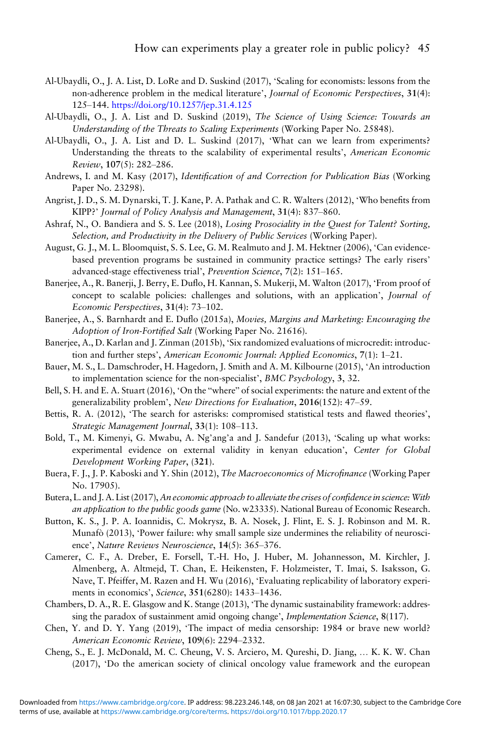- <span id="page-43-0"></span>Al-Ubaydli, O., J. A. List, D. LoRe and D. Suskind (2017), 'Scaling for economists: lessons from the non-adherence problem in the medical literature', Journal of Economic Perspectives, 31(4): 125–144. <https://doi.org/10.1257/jep.31.4.125>
- Al-Ubaydli, O., J. A. List and D. Suskind (2019), The Science of Using Science: Towards an Understanding of the Threats to Scaling Experiments (Working Paper No. 25848).
- Al-Ubaydli, O., J. A. List and D. L. Suskind (2017), 'What can we learn from experiments? Understanding the threats to the scalability of experimental results', American Economic Review, 107(5): 282–286.
- Andrews, I. and M. Kasy (2017), Identification of and Correction for Publication Bias (Working Paper No. 23298).
- Angrist, J. D., S. M. Dynarski, T. J. Kane, P. A. Pathak and C. R. Walters (2012), 'Who benefits from KIPP?' Journal of Policy Analysis and Management, 31(4): 837–860.
- Ashraf, N., O. Bandiera and S. S. Lee (2018), Losing Prosociality in the Quest for Talent? Sorting, Selection, and Productivity in the Delivery of Public Services (Working Paper).
- August, G. J., M. L. Bloomquist, S. S. Lee, G. M. Realmuto and J. M. Hektner (2006), 'Can evidencebased prevention programs be sustained in community practice settings? The early risers' advanced-stage effectiveness trial', Prevention Science, 7(2): 151–165.
- Banerjee, A., R. Banerji, J. Berry, E. Duflo, H. Kannan, S. Mukerji, M. Walton (2017), 'From proof of concept to scalable policies: challenges and solutions, with an application', Journal of Economic Perspectives, 31(4): 73–102.
- Banerjee, A., S. Barnhardt and E. Duflo (2015a), Movies, Margins and Marketing: Encouraging the Adoption of Iron-Fortified Salt (Working Paper No. 21616).
- Banerjee, A., D. Karlan and J. Zinman (2015b), 'Six randomized evaluations of microcredit: introduction and further steps', American Economic Journal: Applied Economics, <sup>7</sup>(1): 1–21.
- Bauer, M. S., L. Damschroder, H. Hagedorn, J. Smith and A. M. Kilbourne (2015), 'An introduction to implementation science for the non-specialist', BMC Psychology, 3, 32.
- Bell, S. H. and E. A. Stuart (2016), 'On the "where" of social experiments: the nature and extent of the generalizability problem', New Directions for Evaluation, 2016(152): 47–59.
- Bettis, R. A. (2012), 'The search for asterisks: compromised statistical tests and flawed theories', Strategic Management Journal, 33(1): 108–113.
- Bold, T., M. Kimenyi, G. Mwabu, A. Ng'ang'a and J. Sandefur (2013), 'Scaling up what works: experimental evidence on external validity in kenyan education', Center for Global Development Working Paper, (321).
- Buera, F. J., J. P. Kaboski and Y. Shin (2012), The Macroeconomics of Microfinance (Working Paper No. 17905).
- Butera, L. and J. A. List (2017), An economic approach to alleviate the crises of confidence in science: With an application to the public goods game (No. w23335). National Bureau of Economic Research.
- Button, K. S., J. P. A. Ioannidis, C. Mokrysz, B. A. Nosek, J. Flint, E. S. J. Robinson and M. R. Munafò (2013), 'Power failure: why small sample size undermines the reliability of neuroscience', Nature Reviews Neuroscience, 14(5): 365–376.
- Camerer, C. F., A. Dreber, E. Forsell, T.-H. Ho, J. Huber, M. Johannesson, M. Kirchler, J. Almenberg, A. Altmejd, T. Chan, E. Heikensten, F. Holzmeister, T. Imai, S. Isaksson, G. Nave, T. Pfeiffer, M. Razen and H. Wu (2016), 'Evaluating replicability of laboratory experiments in economics', Science, 351(6280): 1433–1436.
- Chambers, D. A., R. E. Glasgow and K. Stange (2013), 'The dynamic sustainability framework: addressing the paradox of sustainment amid ongoing change', Implementation Science, 8(117).
- Chen, Y. and D. Y. Yang (2019), 'The impact of media censorship: 1984 or brave new world? American Economic Review, 109(6): 2294–2332.
- Cheng, S., E. J. McDonald, M. C. Cheung, V. S. Arciero, M. Qureshi, D. Jiang, … K. K. W. Chan (2017), 'Do the american society of clinical oncology value framework and the european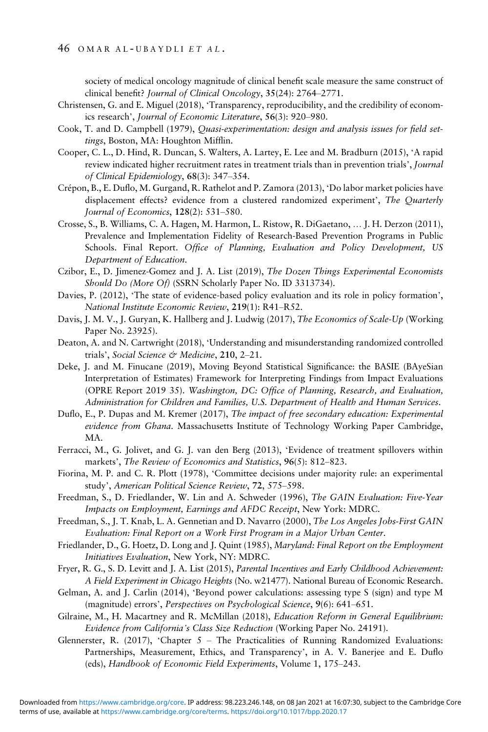<span id="page-44-0"></span>society of medical oncology magnitude of clinical benefit scale measure the same construct of clinical benefit? Journal of Clinical Oncology, 35(24): 2764–2771.

- Christensen, G. and E. Miguel (2018), 'Transparency, reproducibility, and the credibility of economics research', Journal of Economic Literature, 56(3): 920–980.
- Cook, T. and D. Campbell (1979), Quasi-experimentation: design and analysis issues for field settings, Boston, MA: Houghton Mifflin.
- Cooper, C. L., D. Hind, R. Duncan, S. Walters, A. Lartey, E. Lee and M. Bradburn (2015), 'A rapid review indicated higher recruitment rates in treatment trials than in prevention trials', Journal of Clinical Epidemiology, 68(3): 347–354.
- Crépon, B., E. Duflo, M. Gurgand, R. Rathelot and P. Zamora (2013), 'Do labor market policies have displacement effects? evidence from a clustered randomized experiment', The Quarterly Journal of Economics, 128(2): 531–580.
- Crosse, S., B. Williams, C. A. Hagen, M. Harmon, L. Ristow, R. DiGaetano, … J. H. Derzon (2011), Prevalence and Implementation Fidelity of Research-Based Prevention Programs in Public Schools. Final Report. Office of Planning, Evaluation and Policy Development, US Department of Education.
- Czibor, E., D. Jimenez-Gomez and J. A. List (2019), The Dozen Things Experimental Economists Should Do (More Of) (SSRN Scholarly Paper No. ID 3313734).
- Davies, P. (2012), 'The state of evidence-based policy evaluation and its role in policy formation', National Institute Economic Review, 219(1): R41–R52.
- Davis, J. M. V., J. Guryan, K. Hallberg and J. Ludwig (2017), The Economics of Scale-Up (Working Paper No. 23925).
- Deaton, A. and N. Cartwright (2018), 'Understanding and misunderstanding randomized controlled trials', Social Science & Medicine, 210, 2-21.
- Deke, J. and M. Finucane (2019), Moving Beyond Statistical Significance: the BASIE (BAyeSian Interpretation of Estimates) Framework for Interpreting Findings from Impact Evaluations (OPRE Report 2019 35). Washington, DC: Office of Planning, Research, and Evaluation, Administration for Children and Families, U.S. Department of Health and Human Services.
- Duflo, E., P. Dupas and M. Kremer (2017), The impact of free secondary education: Experimental evidence from Ghana. Massachusetts Institute of Technology Working Paper Cambridge, MA.
- Ferracci, M., G. Jolivet, and G. J. van den Berg (2013), 'Evidence of treatment spillovers within markets', The Review of Economics and Statistics, 96(5): 812–823.
- Fiorina, M. P. and C. R. Plott (1978), 'Committee decisions under majority rule: an experimental study', American Political Science Review, 72, 575–598.
- Freedman, S., D. Friedlander, W. Lin and A. Schweder (1996), The GAIN Evaluation: Five-Year Impacts on Employment, Earnings and AFDC Receipt, New York: MDRC.
- Freedman, S., J. T. Knab, L. A. Gennetian and D. Navarro (2000), The Los Angeles Jobs-First GAIN Evaluation: Final Report on a Work First Program in a Major Urban Center.
- Friedlander, D., G. Hoetz, D. Long and J. Quint (1985), Maryland: Final Report on the Employment Initiatives Evaluation, New York, NY: MDRC.
- Fryer, R. G., S. D. Levitt and J. A. List (2015), Parental Incentives and Early Childhood Achievement: A Field Experiment in Chicago Heights (No. w21477). National Bureau of Economic Research.
- Gelman, A. and J. Carlin (2014), 'Beyond power calculations: assessing type S (sign) and type M (magnitude) errors', Perspectives on Psychological Science, 9(6): 641–651.
- Gilraine, M., H. Macartney and R. McMillan (2018), Education Reform in General Equilibrium: Evidence from California's Class Size Reduction (Working Paper No. 24191).
- Glennerster, R. (2017), 'Chapter 5 The Practicalities of Running Randomized Evaluations: Partnerships, Measurement, Ethics, and Transparency', in A. V. Banerjee and E. Duflo (eds), Handbook of Economic Field Experiments, Volume 1, 175–243.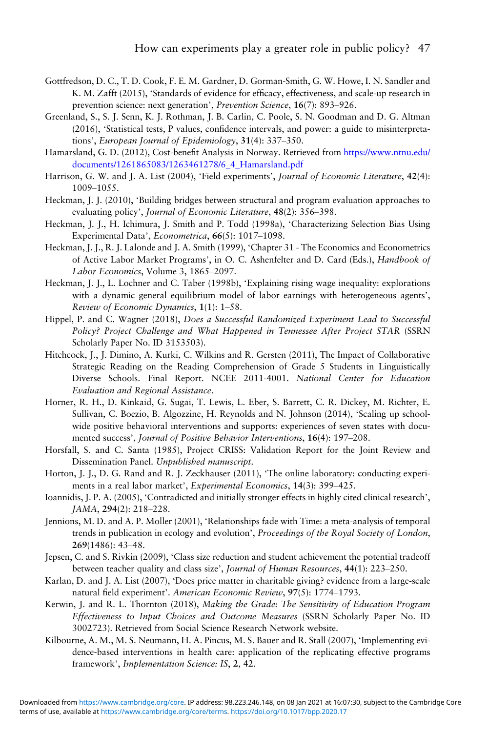- <span id="page-45-0"></span>Gottfredson, D. C., T. D. Cook, F. E. M. Gardner, D. Gorman-Smith, G. W. Howe, I. N. Sandler and K. M. Zafft (2015), 'Standards of evidence for efficacy, effectiveness, and scale-up research in
- prevention science: next generation', *Prevention Science*, 16(7): 893–926.<br>Greenland, S., S. J. Senn, K. J. Rothman, J. B. Carlin, C. Poole, S. N. Goodman and D. G. Altman (2016), 'Statistical tests, P values, confidence intervals, and power: a guide to misinterpretations', European Journal of Epidemiology, 31(4): 337–350.
- Hamarsland, G. D. (2012), Cost-benefit Analysis in Norway. Retrieved from [https://www.ntnu.edu/](https://www.ntnu.edu/documents/1261865083/1263461278/6_4_Hamarsland.pdf) [documents/1261865083/1263461278/6\\_4\\_Hamarsland.pdf](https://www.ntnu.edu/documents/1261865083/1263461278/6_4_Hamarsland.pdf)
- Harrison, G. W. and J. A. List (2004), 'Field experiments', Journal of Economic Literature, 42(4): 1009–1055.
- Heckman, J. J. (2010), 'Building bridges between structural and program evaluation approaches to evaluating policy', Journal of Economic Literature, 48(2): 356–398.
- Heckman, J. J., H. Ichimura, J. Smith and P. Todd (1998a), 'Characterizing Selection Bias Using Experimental Data', Econometrica, 66(5): 1017–1098.
- Heckman, J. J., R. J. Lalonde and J. A. Smith (1999), 'Chapter 31 The Economics and Econometrics of Active Labor Market Programs', in O. C. Ashenfelter and D. Card (Eds.), Handbook of Labor Economics, Volume 3, 1865–2097.
- Heckman, J. J., L. Lochner and C. Taber (1998b), 'Explaining rising wage inequality: explorations with a dynamic general equilibrium model of labor earnings with heterogeneous agents', Review of Economic Dynamics, 1(1): 1–58.
- Hippel, P. and C. Wagner (2018), Does a Successful Randomized Experiment Lead to Successful Policy? Project Challenge and What Happened in Tennessee After Project STAR (SSRN Scholarly Paper No. ID 3153503).
- Hitchcock, J., J. Dimino, A. Kurki, C. Wilkins and R. Gersten (2011), The Impact of Collaborative Strategic Reading on the Reading Comprehension of Grade 5 Students in Linguistically Diverse Schools. Final Report. NCEE 2011-4001. National Center for Education Evaluation and Regional Assistance.
- Horner, R. H., D. Kinkaid, G. Sugai, T. Lewis, L. Eber, S. Barrett, C. R. Dickey, M. Richter, E. Sullivan, C. Boezio, B. Algozzine, H. Reynolds and N. Johnson (2014), 'Scaling up schoolwide positive behavioral interventions and supports: experiences of seven states with documented success', Journal of Positive Behavior Interventions, 16(4): 197–208.
- Horsfall, S. and C. Santa (1985), Project CRISS: Validation Report for the Joint Review and Dissemination Panel. Unpublished manuscript.
- Horton, J. J., D. G. Rand and R. J. Zeckhauser (2011), 'The online laboratory: conducting experiments in a real labor market', Experimental Economics, 14(3): 399–425.
- Ioannidis, J. P. A. (2005), 'Contradicted and initially stronger effects in highly cited clinical research', JAMA, 294(2): 218–228.
- Jennions, M. D. and A. P. Moller (2001), 'Relationships fade with Time: a meta-analysis of temporal trends in publication in ecology and evolution', Proceedings of the Royal Society of London, 269(1486): 43–48.
- Jepsen, C. and S. Rivkin (2009), 'Class size reduction and student achievement the potential tradeoff between teacher quality and class size', Journal of Human Resources, 44(1): 223–250.
- Karlan, D. and J. A. List (2007), 'Does price matter in charitable giving? evidence from a large-scale natural field experiment'. American Economic Review, 97(5): 1774–1793.
- Kerwin, J. and R. L. Thornton (2018), Making the Grade: The Sensitivity of Education Program Effectiveness to Input Choices and Outcome Measures (SSRN Scholarly Paper No. ID 3002723). Retrieved from Social Science Research Network website.
- Kilbourne, A. M., M. S. Neumann, H. A. Pincus, M. S. Bauer and R. Stall (2007), 'Implementing evidence-based interventions in health care: application of the replicating effective programs framework', Implementation Science: IS, 2, 42.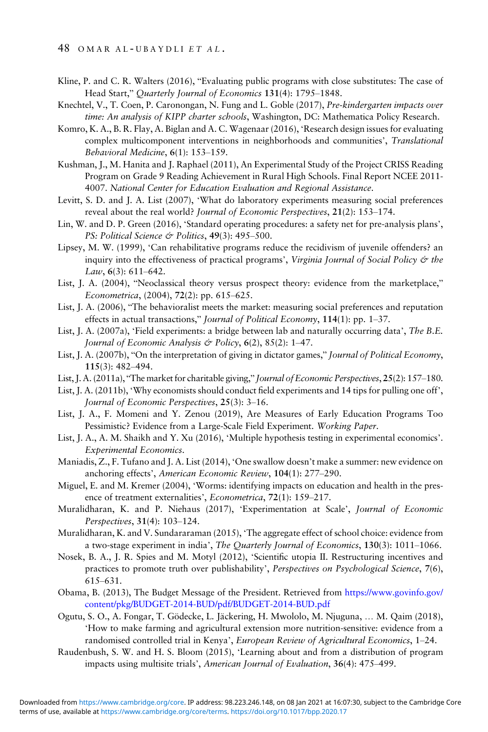- <span id="page-46-0"></span>Kline, P. and C. R. Walters (2016), "Evaluating public programs with close substitutes: The case of Head Start," Quarterly Journal of Economics 131(4): 1795–1848.
- Knechtel, V., T. Coen, P. Caronongan, N. Fung and L. Goble (2017), Pre-kindergarten impacts over time: An analysis of KIPP charter schools, Washington, DC: Mathematica Policy Research.
- Komro, K. A., B. R. Flay, A. Biglan and A. C. Wagenaar (2016), 'Research design issues for evaluating complex multicomponent interventions in neighborhoods and communities', Translational Behavioral Medicine, 6(1): 153–159.
- Kushman, J., M. Hanita and J. Raphael (2011), An Experimental Study of the Project CRISS Reading Program on Grade 9 Reading Achievement in Rural High Schools. Final Report NCEE 2011- 4007. National Center for Education Evaluation and Regional Assistance.
- Levitt, S. D. and J. A. List (2007), 'What do laboratory experiments measuring social preferences reveal about the real world? Journal of Economic Perspectives, 21(2): 153–174.
- Lin, W. and D. P. Green (2016), 'Standard operating procedures: a safety net for pre-analysis plans', PS: Political Science & Politics, 49(3): 495-500.
- Lipsey, M. W. (1999), 'Can rehabilitative programs reduce the recidivism of juvenile offenders? an inquiry into the effectiveness of practical programs', Virginia Journal of Social Policy & the Law,  $6(3)$ :  $611-642$ .
- List, J. A. (2004), "Neoclassical theory versus prospect theory: evidence from the marketplace," Econometrica, (2004), 72(2): pp. 615–625.
- List, J. A. (2006), "The behavioralist meets the market: measuring social preferences and reputation effects in actual transactions," Journal of Political Economy, 114(1): pp. 1–37.
- List, J. A. (2007a), 'Field experiments: a bridge between lab and naturally occurring data', The B.E. Journal of Economic Analysis & Policy, 6(2), 85(2): 1-47.
- List, J. A. (2007b), "On the interpretation of giving in dictator games," Journal of Political Economy, 115(3): 482–494.
- List, J. A. (2011a), "The market for charitable giving," Journal of Economic Perspectives, 25(2): 157–180.
- List, J. A. (2011b), 'Why economists should conduct field experiments and 14 tips for pulling one off', Journal of Economic Perspectives, 25(3): 3–16.
- List, J. A., F. Momeni and Y. Zenou (2019), Are Measures of Early Education Programs Too Pessimistic? Evidence from a Large-Scale Field Experiment. Working Paper.
- List, J. A., A. M. Shaikh and Y. Xu (2016), 'Multiple hypothesis testing in experimental economics'. Experimental Economics.
- Maniadis, Z., F. Tufano and J. A. List (2014), 'One swallow doesn't make a summer: new evidence on anchoring effects', American Economic Review, 104(1): 277–290.
- Miguel, E. and M. Kremer (2004), 'Worms: identifying impacts on education and health in the presence of treatment externalities', Econometrica, 72(1): 159–217.
- Muralidharan, K. and P. Niehaus (2017), 'Experimentation at Scale', Journal of Economic Perspectives, 31(4): 103–124.
- Muralidharan, K. and V. Sundararaman (2015), 'The aggregate effect of school choice: evidence from a two-stage experiment in india', The Quarterly Journal of Economics, 130(3): 1011–1066.
- Nosek, B. A., J. R. Spies and M. Motyl (2012), 'Scientific utopia II. Restructuring incentives and practices to promote truth over publishability', Perspectives on Psychological Science, 7(6), 615–631.
- Obama, B. (2013), The Budget Message of the President. Retrieved from [https://www.govinfo.gov/](https://www.govinfo.gov/content/pkg/BUDGET-2014-BUD/pdf/BUDGET-2014-BUD.pdf) [content/pkg/BUDGET-2014-BUD/pdf/BUDGET-2014-BUD.pdf](https://www.govinfo.gov/content/pkg/BUDGET-2014-BUD/pdf/BUDGET-2014-BUD.pdf)
- Ogutu, S. O., A. Fongar, T. Gödecke, L. Jäckering, H. Mwololo, M. Njuguna, … M. Qaim (2018), 'How to make farming and agricultural extension more nutrition-sensitive: evidence from a randomised controlled trial in Kenya', European Review of Agricultural Economics, 1–24.
- Raudenbush, S. W. and H. S. Bloom (2015), 'Learning about and from a distribution of program impacts using multisite trials', American Journal of Evaluation, 36(4): 475–499.